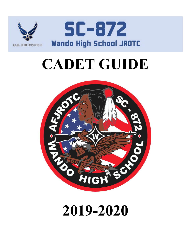

# **CADET GUIDE**



## **2019-2020**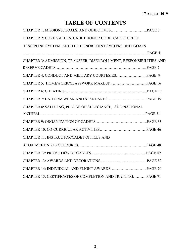## **TABLE OF CONTENTS**

| CHAPTER 2: CORE VALUES, CADET HONOR CODE, CADET CREED,              |  |
|---------------------------------------------------------------------|--|
| DISCIPLINE SYSTEM, AND THE HONOR POINT SYSTEM, UNIT GOALS           |  |
|                                                                     |  |
| CHAPTER 3: ADMISSION, TRANSFER, DISENROLLMENT, RESPONSIBILITIES AND |  |
|                                                                     |  |
|                                                                     |  |
|                                                                     |  |
|                                                                     |  |
|                                                                     |  |
| CHAPTER 8: SALUTING, PLEDGE OF ALLEGIANCE, AND NATIONAL             |  |
|                                                                     |  |
|                                                                     |  |
|                                                                     |  |
| <b>CHAPTER 11: INSTRUCTOR/CADET OFFICES AND</b>                     |  |
|                                                                     |  |
|                                                                     |  |
|                                                                     |  |
|                                                                     |  |
| CHAPTER 15: CERTIFICATES OF COMPLETION AND TRAININGPAGE 71          |  |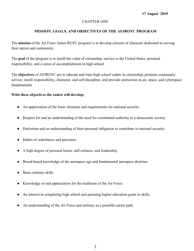## CHAPTER ONE

## **MISSION, GOALS, AND OBJECTIVES OF THE AFJROTC PROGRAM**

The **mission** of the Air Force Junior ROTC program is to develop citizens of character dedicated to serving their nation and community.

The **goal** of the program is to instill the value of citizenship, service to the United States, personal responsibility, and a sense of accomplishment in high school.

The **objectives** of AFJROTC are to educate and train high school cadets in citizenship; promote community service; instill responsibility, character, and self-discipline; and provide instruction in air, space, and cyberspace fundamentals.

## **With these objectives the cadets will develop:**

- An appreciation of the basic elements and requirements for national security.
- Respect for and an understanding of the need for constituted authority in a democratic society.
- Patriotism and an understanding of their personal obligation to contribute to national security.
- Habits of orderliness and precision.
- A high degree of personal honor, self-reliance, and leadership.
- Broad-based knowledge of the aerospace age and fundamental aerospace doctrine.
- Basic military skills.
- Knowledge of and appreciation for the traditions of the Air Force.
- An interest in completing high school and pursuing higher education goals or skills.
- An understanding of the Air Force and military as a possible career path.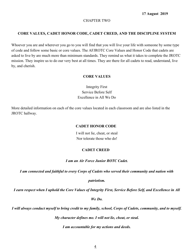#### CHAPTER TWO

#### **CORE VALUES, CADET HONOR CODE, CADET CREED, AND THE DISCIPLINE SYSTEM**

Whoever you are and wherever you go to you will find that you will live your life with someone by some type of code and follow some basic or core values. The AFJROTC Core Values and Honor Code that cadets are asked to live by are much more than minimum standards. They remind us what it takes to complete the JROTC mission. They inspire us to do our very best at all times. They are there for all cadets to read, understand, live by, and cherish.

#### **CORE VALUES**

Integrity First Service Before Self Excellence in All We Do

More detailed information on each of the core values located in each classroom and are also listed in the JROTC hallway.

#### **CADET HONOR CODE**

I will not lie, cheat, or steal Nor tolerate those who do!

#### **CADET CREED**

#### *I am an Air Force Junior ROTC Cadet.*

*I am connected and faithful to every Corps of Cadets who served their community and nation with*

*patriotism.*

*I earn respect when I uphold the Core Values of Integrity First, Service Before Self, and Excellence in All*

*We Do.*

*I will always conduct myself to bring credit to my family, school, Corps of Cadets, community, and to myself.*

*My character defines me. I will not lie, cheat, or steal.*

*I am accountable for my actions and deeds.*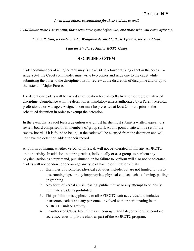*I will hold others accountable for their actions as well.*

*I will honor those I serve with, those who have gone before me, and those who will come after me.*

*I am a Patriot, a Leader, and a Wingman devoted to those I follow, serve and lead.*

*I am an Air Force Junior ROTC Cadet.*

#### **DISCIPLINE SYSTEM**

Cadet commanders of a higher rank may issue a 341 to a lower ranking cadet in the corps. To issue a 341 the Cadet commander must write two copies and issue one to the cadet while submitting the other to the discipline box for review at the discretion of discipline and or up to the extent of Major Farese.

For detentions cadets will be issued a notification form directly by a senior representative of discipline. Compliance with the detention is mandatory unless authorized by a Parent, Medical professional, or Manager. A signed note must be presented at least 24 hours prior to the scheduled detention in order to exempt the detention.

In the event that a cadet feels a detention was unjust he/she must submit a written appeal to a review board comprised of all members of group staff. At this point a date will be set for the review board, if it is found to be unjust the cadet will be excused from the detention and will not have the detention added to their record.

Any form of hazing, whether verbal or physical, will not be tolerated within any AFJROTC unit or activity. In addition, requiring cadets, individually or as a group, to perform any physical action as a reprimand, punishment, or for failure to perform will also not be tolerated. Cadets will not condone or encourage any type of hazing or initiation rituals.

- 1. Examples of prohibited physical activities include, but are not limited to: pushups, running laps, or any inappropriate physical contact such as shoving, pulling or grabbing.
- 2. Any form of verbal abuse, teasing, public rebuke or any attempt to otherwise humiliate a cadet is prohibited.
- 3. This prohibition is applicable to all AFJROTC unit activities, and includes instructors, cadets and any personnel involved with or participating in an AFJROTC unit or activity.
- 4. Unauthorized Clubs. No unit may encourage, facilitate, or otherwise condone secret societies or private clubs as part of the AFJROTC program.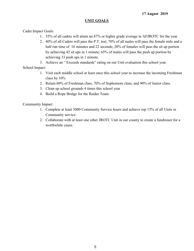## **UNIT GOALS**

Cadet Impact Goals:

- 1. 55% of all cadets will attain an 87% or higher grade average in AFJROTC for the year
- 2. 40% of all Cadets will pass the P.T. test; 70% of all males will pass the female mile and a half run time of 16 minutes and 22 seconds; 20% of females will pass the sit up portion by achieving 42 sit ups in 1 minute; 65% of males will pass the push up portion by achieving 33 push ups in 1 minute.
- 3. Achieve an " Exceeds standards" rating on our Unit evaluation this school year.

School Impact:

- 1. Visit each middle school at least once this school year to increase the incoming Freshman class by 10%
- 2. Retain 60% of Freshman class, 70% of Sophomore class, and 90% of Junior class.
- 3. Clean up school grounds 4 times this school year
- 4. Build a Rope Bridge for the Raider Team

Community Impact

- 1. Complete at least 3000 Community Service hours and achieve top 15% of all Units in Community service.
- 2. Collaborate with at least one other JROTC Unit in our county to create a fundraiser for a worthwhile cause.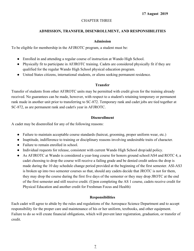## CHAPTER THREE

## **ADMISSION, TRANSFER, DISENROLLMENT, AND RESPONSIBILITIES**

#### **Admission**

To be eligible for membership in the AFJROTC program, a student must be:

- Enrolled in and attending a regular course of instruction at Wando High School.
- Physically fit to participate in AFJROTC training. Cadets are considered physically fit if they are qualified for the regular Wando High School physical education program.
- United States citizens, international students, or aliens seeking permanent residence.

#### **Transfer**

Transfer of students from other AFJROTC units may be permitted with credit given for the training already received. No guarantees can be made, however, with respect to a student's retaining temporary or permanent rank made in another unit prior to transferring to SC-872. Temporary rank and cadet jobs are tied together at SC-872, as are permanent rank and cadet's year in AFJROTC.

#### **Disenrollment**

A cadet may be disenrolled for any of the following reasons:

- Failure to maintain acceptable course standards (haircut, grooming, proper uniform wear, etc.)
- Inaptitude, indifference to training or disciplinary reasons involving undesirable traits of character.
- Failure to remain enrolled in school.
- Individual requests for release, consistent with current Wando High School drop/add policy.
- As AFJROTC at Wando is considered a year-long course for honors ground school/AS4 and ROTC 4, a cadet choosing to drop the course will receive a failing grade and be denied credit unless the drop is made during the 10 day schedule change period provided at the beginning of the first semester. ASl-AS3 is broken up into two semester courses so that, should any cadets decide that JROTC is not for them, they may drop the course during the first five days of the semester or they may drop JROTC at the end of the first semester and still receive credit. (Upon completing the AS 1 course, cadets receive credit for Physical Education and another credit for Freshman Focus and Health)

## **Responsibilities**

Each cadet will agree to abide by the rules and regulations of the Aerospace Science Department and to accept responsibility for the proper care and maintenance of his or her uniform, textbooks, and other equipment. Failure to do so will create financial obligations, which will prevent later registration, graduation, or transfer of credit.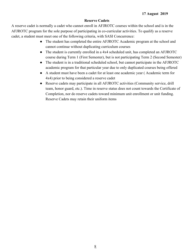#### **Reserve Cadets**

A reserve cadet is normally a cadet who cannot enroll in AFJROTC courses within the school and is in the AFJROTC program for the sole purpose of participating in co-curricular activities. To qualify as a reserve cadet, a student must meet one of the following criteria, with SASI Concurrence:

- The student has completed the entire AFJROTC Academic program at the school and cannot continue without duplicating curriculum courses
- The student is currently enrolled in a 4x4 scheduled unit, has completed an AFJROTC course during Term 1 (First Semester), but is not participating Term 2 (Second Semester)
- The student is in a traditional scheduled school, but cannot participate in the AFJROTC academic program for that particular year due to only duplicated courses being offered
- A student must have been a cadet for at least one academic year ( Academic term for 4x4) prior to being considered a reserve cadet
- Reserve cadets may participate in all AFJROTC activities (Community service, drill team, honor guard, etc.). Time in reserve status does not count towards the Certificate of Completion, nor do reserve cadets toward minimum unit enrollment or unit funding. Reserve Cadets may retain their uniform items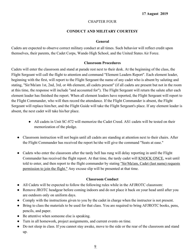## CHAPTER FOUR

## **CONDUCT AND MILITARY COURTESY**

### **General**

Cadets are expected to observe correct military conduct at all times. Such behavior will reflect credit upon themselves, their parents, the Cadet Corps, Wando High School, and the United States Air Force.

#### **Classroom Procedures**

Cadets will enter the classroom and stand at parade rest next to their desk. At the beginning of the class, the Flight Sergeant will call the flight to attention and command "Element Leaders Report". Each element leader, beginning with the first, will report to the Flight Sergeant the name of any cadet who is absent by saluting and stating, "Sir/Ma'am 1st, 2nd, 3rd, or 4th element, all cadets present" (if all cadets are present but not in the room at this time, the response will include "and accounted for"). The Flight Sergeant will return the salute after each element leader has finished the report. When all element leaders have reported, the Flight Sergeant will report to the Flight Commander, who will then record the attendance. If the Flight Commander is absent, the Flight Sergeant will replace him/her, and the Flight Guide will take the Flight Sergeant's place. If any element leader is absent, the next cadet will take his/her place.

- All cadets in Unit SC-872 will memorize the Cadet Creed. AS1 cadets will be tested on their memorization of the pledge.
- Classroom instruction will not begin until all cadets are standing at attention next to their chairs. After the Flight Commander has received the report he/she will give the command "Seats at ease."
- Cadets who enter the classroom after the tardy bell has rung will delay reporting in until the Flight Commander has received the flight report. At that time, the tardy cadet will KNOCK ONCE, wait until told to enter, and then report to the flight commander by stating "Sir/Ma'am, Cadet (last name) requests permission to join the flight." Any excuse slip will be presented at that time.

## **Classroom Conduct**

- All Cadets will be expected to follow the following rules while in the AFJROTC classroom:
- Remove JROTC headgear before coming indoors and do not place it back on your head until after you are outdoors only on uniform days.
- Comply with the instructions given to you by the cadet in charge when the instructor is not present.
- Bring to class the materials to be used for that class. You are required to bring AFJROTC books, pens, pencils, and paper.
- Be attentive when someone else is speaking.
- Turn in all homework, project assignments, and current events on time.
- Do not sleep in class. If you cannot stay awake, move to the side or the rear of the classroom and stand up.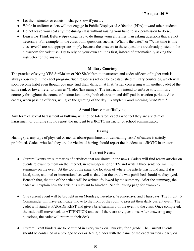- Let the instructor or cadets in charge know if you are ill.
- While in uniform cadets will not engage in Public Displays of Affection (PDA) toward other students.
- Do not leave your seat anytime during class without raising your hand to ask permission to do so.
- **● Learn To Think Before Speaking:** Try to do things yourself rather than asking questions that are not necessary. For example, in the classroom, questions such as "What is the date?" or "What time is this class over?" are not appropriate simply because the answers to these questions are already posted in the classroom for cadet use. Try to rely on your own abilities first, instead of automatically asking the instructor for the answer.

#### **Military Courtesy**

The practice of saying YES Sir/Ma'am or NO Sir/Ma'am to instructors and cadet officers of higher rank is always observed in the cadet program. Such responses reflect long- established military courtesies, which will soon become habit even though you may find them difficult at first. When conversing with another cadet of the same rank or lower, refer to them as "Cadet (last name)." The instructors intend to enforce strict military courtesy throughout the course of instruction, during both classroom and drill pad instruction periods. Also cadets, when passing officers, will give the greeting of the day. Example: "Good morning Sir/Ma'am."

## **Sexual Harassment/Bullying**

Any form of sexual harassment or bullying will not be tolerated; cadets who feel they are a victim of harassment or bullying should report the incident to a JROTC instructor or school administrator.

## **Hazing**

Hazing (i.e. any type of physical or mental abuse/punishment or demeaning tasks) of cadets is strictly prohibited. Cadets who feel they are the victim of hazing should report the incident to a JROTC instructor.

## **Current Events**

- Current Events are summaries of activities that are shown in the news. Cadets will find recent articles on events relevant to them on the internet, in newspapers, or on TV and write a three sentence minimum summary on the event. At the top of the page, the location of where the article was found and if it is local, state, national or international as well as date that the article was published should be displayed. Beneath that, the title of the article will be written, followed by the summary. After the summary, the cadet will explain how the article is relevant to him/her. (See following page for example)
- One current event will be brought in on Mondays, Tuesdays, Wednesdays, and Thursdays. The Flight 5 Commander will have each cadet move to the front of the room to present their daily current event. The cadet will stand at PARADE REST and give a brief summary of the event to the class. Once completed, the cadet will move back to ATTENTION and ask if there are any questions. After answering any questions, the cadet will return to their desk.
- Current Event binders are to be turned in every week on Thursday for a grade. The Current Events should be contained in a pronged folder or 3-ring binder with the name of the cadet written clearly on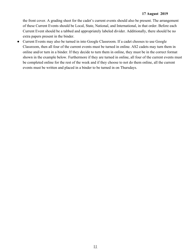the front cover. A grading sheet for the cadet's current events should also be present. The arrangement of these Current Events should be Local, State, National, and International, in that order. Before each Current Event should be a tabbed and appropriately labeled divider. Additionally, there should be no extra papers present in the binder.

• Current Events may also be turned in into Google Classroom. If a cadet chooses to use Google Classroom, then all four of the current events must be turned in online. AS2 cadets may turn them in online and/or turn in a binder. If they decide to turn them in online, they must be in the correct format shown in the example below. Furthermore if they are turned in online, all four of the current events must be completed online for the rest of the week and if they choose to not do them online, all the current events must be written and placed in a binder to be turned in on Thursdays.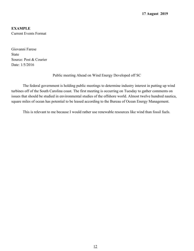## **EXAMPLE** Current Events Format

Giovanni Farese State Source: Post & Courier Date: 1/5/2016

Public meeting Ahead on Wind Energy Developed off SC

The federal government is holding public meetings to determine industry interest in putting up wind turbines off of the South Carolina coast. The first meeting is occurring on Tuesday to gather comments on issues that should be studied in environmental studies of the offshore world. Almost twelve hundred nautica, square miles of ocean has potential to be leased according to the Bureau of Ocean Energy Management.

This is relevant to me because I would rather use renewable resources like wind than fossil fuels.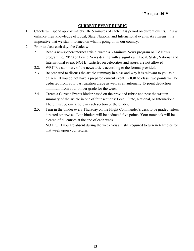### **CURRENT EVENT RUBRIC**

- 1. Cadets will spend approximately 10-15 minutes of each class period on current events. This will enhance their knowledge of Local, State, National and International events. As citizens, it is imperative that we stay informed on what is going on in our country.
- 2. Prior to class each day, the Cadet will:
	- 2.1. Read a newspaper/internet article, watch a 30-minute News program or TV News program i.e. 20/20 or Live 5 News dealing with a significant Local, State, National and International event. NOTE…articles on celebrities and sports are not allowed
	- 2.2. WRITE a summary of the news article according to the format provided.
	- 2.3. Be prepared to discuss the article summary in class and why it is relevant to you as a citizen. If you do not have a prepared current event PRIOR to class, two points will be deducted from your participation grade as well as an automatic 15 point deduction minimum from your binder grade for the week.
	- 2.4. Create a Current Events binder based on the provided rubric and post the written summary of the article in one of four sections: Local, State, National, or International. There must be one article in each section of the binder.
	- 2.5. Turn in the binder every Thursday on the Flight Commander's desk to be graded unless directed otherwise. Late binders will be deducted five points. Your notebook will be cleared of all entries at the end of each week. NOTE…If you are absent during the week you are still required to turn in 4 articles for

that week upon your return.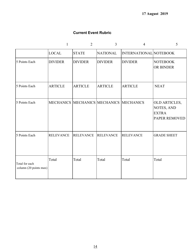## **Current Event Rubric**

|                                          | $\mathbf{1}$     | $\overline{2}$   | 3                                    | 4                      | 5                                                                   |
|------------------------------------------|------------------|------------------|--------------------------------------|------------------------|---------------------------------------------------------------------|
|                                          | <b>LOCAL</b>     | <b>STATE</b>     | <b>NATIONAL</b>                      | INTERNATIONAL NOTEBOOK |                                                                     |
| 5 Points Each                            | <b>DIVIDER</b>   | <b>DIVIDER</b>   | <b>DIVIDER</b>                       | <b>DIVIDER</b>         | <b>NOTEBOOK</b><br>OR BINDER                                        |
| 5 Points Each                            | <b>ARTICLE</b>   | <b>ARTICLE</b>   | <b>ARTICLE</b>                       | <b>ARTICLE</b>         | <b>NEAT</b>                                                         |
| 5 Points Each                            |                  |                  | <b>MECHANICS MECHANICS MECHANICS</b> | <b>MECHANICS</b>       | OLD ARTICLES,<br>NOTES, AND<br><b>EXTRA</b><br><b>PAPER REMOVED</b> |
| 5 Points Each                            | <b>RELEVANCE</b> | <b>RELEVANCE</b> | <b>RELEVANCE</b>                     | <b>RELEVANCE</b>       | <b>GRADE SHEET</b>                                                  |
| Total for each<br>column (20 points max) | Total            | Total            | Total                                | Total                  | Total                                                               |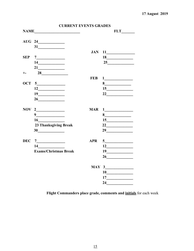|            | <b>CURRENT EVENTS GRADES</b>                                     |            |                                        |
|------------|------------------------------------------------------------------|------------|----------------------------------------|
|            |                                                                  |            |                                        |
|            |                                                                  |            |                                        |
|            |                                                                  |            |                                        |
|            |                                                                  | <b>JAN</b> |                                        |
| <b>SEP</b> |                                                                  |            | 18                                     |
|            | $\begin{array}{c}\n 14 \quad \text{---} \\ \hline\n \end{array}$ |            | 25                                     |
|            |                                                                  |            |                                        |
| $+ -$      |                                                                  |            |                                        |
|            |                                                                  | <b>FEB</b> | $1 \qquad \qquad$                      |
| <b>OCT</b> | 5                                                                |            |                                        |
|            |                                                                  |            | 15                                     |
|            | 19                                                               |            | 22                                     |
|            | 26                                                               |            |                                        |
| <b>NOV</b> |                                                                  | <b>MAR</b> |                                        |
|            | $9 \qquad \qquad$                                                |            | $8 \overline{\phantom{a} \phantom{a}}$ |
|            |                                                                  |            |                                        |
|            | <b>23 Thanksgiving Break</b>                                     |            |                                        |
|            | 30                                                               |            | $29 \overline{\qquad \qquad }$         |
| <b>DEC</b> | $\begin{array}{c} 7 \end{array}$                                 | <b>APR</b> |                                        |
|            |                                                                  |            |                                        |
|            | <b>Exams/Christmas Break</b>                                     |            | 19                                     |
|            |                                                                  |            | $26 \qquad \qquad$                     |
|            |                                                                  |            | $MAY$ 3                                |
|            |                                                                  |            | 10                                     |
|            |                                                                  |            |                                        |
|            |                                                                  |            |                                        |
|            |                                                                  |            |                                        |

Flight Commanders place grade, comments and *initials* for each week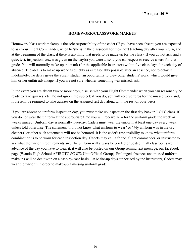#### CHAPTER FIVE

#### **HOMEWORK/CLASSWORK MAKEUP**

Homework/class work makeup is the sole responsibility of the cadet (If you have been absent, you are expected to ask your Flight Commander, when he/she is in the classroom for their next teaching day after you return, and at the beginning of the class, if there is anything that needs to be made up for the class). If you do not ask, and a quiz, test, inspection, etc., was given on the day(s) you were absent, you can expect to receive a zero for that grade. You will normally make up the work (for the applicable instructor) within five class days for each day of absence. The idea is to make up work as quickly as is reasonably possible after an absence, not to delay it indefinitely. To delay gives the absent student an opportunity to view other students' work, which would give him or her unfair advantage. If you are not sure whether something was missed, ask.

In the event you are absent two or more days, discuss with your Flight Commander when you can reasonably be ready to take quizzes, etc. Do not ignore the subject; if you do, you will receive zeros for the missed work and, if present, be required to take quizzes on the assigned test day along with the rest of your peers.

If you are absent on uniform inspection day, you must make up inspection the first day back in ROTC class. If you do not wear the uniform at the appropriate time you will receive zero for the uniform grade the week or weeks missed. Uniform day is normally Tuesday. Cadets must wear the uniform at least one day every week unless told otherwise. The statement "I did not know what uniform to wear" or "My uniform was in the dry cleaners" or other such statements will not be honored. It is the cadet's responsibility to know what uniform combination is to be worn for each inspection day. Cadets may call a friend, flight commander, or instructor to ask what the uniform requirements are. The uniform will always be briefed or posted in all classrooms well in advance of the day you have to wear it, it will also be posted on our Group remind text message, our facebook page (Wando High School AFJROTC SC-872 Unit Official Group). Prolonged absences and missed uniform makeups will be dealt with on a case-by-case basis. On Make-up days authorized by the instructors, Cadets may wear the uniform in order to make-up a missing uniform grade.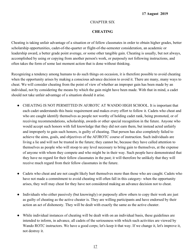## CHAPTER SIX

## **CHEATING**

Cheating is taking unfair advantage of a situation or of fellow classmates in order to obtain higher grades, better scholarship opportunities, cadet-of-the-quarter or flight-of-the-semester consideration, an academic or leadership award, a better grade point average, or some other tangible gain. Cheating is usually, but not always, accomplished by using or copying from another person's work, or purposely not following instructions, and often takes the form of some last moment action that is done without thinking.

Recognizing a tendency among humans to do such things on occasion, it is therefore possible to avoid cheating when the opportunity arises by making a conscious advance decision to avoid it. There are many, many ways to cheat. We will consider cheating from the point of view of whether an improper gain has been made by an individual, not by considering the means by which the gain might have been made. With that in mind, a cadet should not take unfair advantage of a situation should it arise.

- CHEATING IS NOT PERMITTED IN AFJROTC AT WANDO HIGH SCHOOL. It is important that each cadet understands this basic requirement and makes every effort to follow it. Cadets who cheat and who are caught identify themselves as people not worthy of holding cadet rank, being promoted, or of receiving recommendations, scholarship, awards or other special recognition in the future. Anyone who would accept such honors with full knowledge that they did not earn them, but instead acted unfairly and improperly to gain such honors, is guilty of cheating. That person has also completely failed to achieve the aims, goals, and objectives of the AFJROTC course of instruction. Such individuals are living a lie and will not be trusted in the future; they cannot be, because they have called attention to themselves as people who will stoop to any level necessary to bring gain to themselves, at the expense of anyone with whom they compete and who might be in their way. Such people have demonstrated that they have no regard for their fellow classmates in the past; it will therefore be unlikely that they will receive much regard from their fellow classmates in the future.
- Cadets who cheat and are not caught likely hurt themselves more than those who are caught. Cadets who have not made a commitment to avoid cheating will often fall in this category- when the opportunity arises, they well may cheat for they have not considered making an advance decision not to cheat.
- Individuals who either passively (but knowingly) or purposely allow others to copy their work are just as guilty of cheating as the active cheater is. They are willing participants and have endorsed by their action an act of dishonesty. They will be dealt with exactly the same as the active cheater.
- While individual instances of cheating will be dealt with on an individual basis, these guidelines are intended to inform, in advance, all cadets of the seriousness with which such activities are viewed by Wando ROTC instructors. We have a good corps; let's keep it that way. If we change it, let's improve it, not destroy it.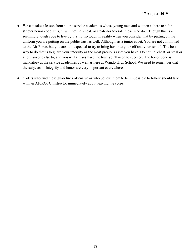- We can take a lesson from all the service academies whose young men and women adhere to a far stricter honor code. It is, "I will not lie, cheat, or steal- nor tolerate those who do." Though this is a seemingly tough code to live by, it's not so tough in reality when you consider that by putting on the uniform you are putting on the public trust as well. Although, as a junior cadet. You are not committed to the Air Force, but you are still expected to try to bring honor to yourself and your school. The best way to do that is to guard your integrity as the most precious asset you have. Do not lie, cheat, or steal or allow anyone else to, and you will always have the trust you'll need to succeed. The honor code is mandatory at the service academies as well as here at Wando High School. We need to remember that the subjects of Integrity and honor are very important everywhere.
- Cadets who find these guidelines offensive or who believe them to be impossible to follow should talk with an AFJROTC instructor immediately about leaving the corps.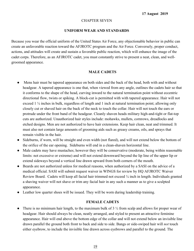#### CHAPTER SEVEN

#### **UNIFORM WEAR AND STANDARDS**

Because you wear the official uniform of the United States Air Force, any objectionable behavior in public can create an unfavorable reaction toward the AFJROTC program and the Air Force. Conversely, proper conduct, actions, and attitudes will create and sustain a favorable public reaction, which will enhance the image of the cadet corps. Therefore, as an AFJROTC cadet, you must constantly strive to present a neat, clean, and wellgroomed appearance.

#### **MALE CADETS**

- Mens hair must be tapered appearance on both sides and the back of the head, both with and without headgear. A tapered appearance is one that, when viewed from any angle, outlines the cadets hair so that it conforms to the shape of the head, curving inward to the natural termination point without eccentric directional flow, twists or spiking. A block-cut is permitted with with tapered appearance. Hair will not exceed 1 ¼ inches in bulk, regardless of length and 1 inch at natural termination point; allowing only closely cut or shaved hair on the back of the neck to touch the collar. Hair will not touch the ears or protrude under the front band of the headgear. Cleanly shaven heads military high-and-tight or flat-top cuts are authorized. Unauthorized hair styles include: mohawks, mullets, cornrows, dreadlocks and etched designs. Men are not authorized to have hair extensions. Keep hair clean, neat and trimmed. It must also not contain large amounts of grooming aids such as greasy creams, oils, and sprays that remain visible in the hair.
- Sideburns, if worn, will be straight and even width (not flared), and will not extend below the bottom of the orifice of the ear opening. Sideburns will end in a clean-shaven horizontal line.
- Male cadets may have mustaches; however they will be conservative (moderate, being within reasonable limits: not excessive or extreme) and will not extend downward beyond the lip line of the upper lip or extend sideways beyond a vertical line drawn upward from both corners of the mouth.
- Beards are not authorized unless for medical reasons, when authorized by a SASI on the advice of a medical official. SASI will submit request waiver in WINGS for review by HQ AFJROTC Waiver Review Board. Cadets will keep all facial hair trimmed not exceed ¼ inch in length. Individuals granted a shaving waiver will not shave or trim any facial hair in any such a manner as to give a sculpted appearance.
- Leather low quarter shoes will be issued. They will be worn during leadership training.

#### **FEMALE CADETS**

There is no minimum hair length, to the maximum bulk of  $3\frac{1}{2}$  from scalp and allows for proper wear of headgear. Hair should always be clean, neatly arranged, and styled to present an attractive feminine appearance. Hair will end above the bottom edge of the collar and will not extend below an invisible line drawn parallel the ground both front to back and side to side. Bangs or side-swiped hair will *not* touch either eyebrow, to include the invisible line drawn across eyebrows and parallel to the ground. The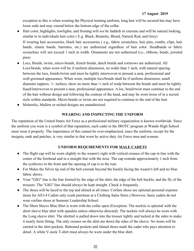exception to this is when wearing the Physical training uniform, long hair will be secured but may have loose ends and may extend below the bottom edge of the collar.

- Hair color, highlights, lowlights, and frosting will *not* be faddish or extreme and will be natural looking, similar to in individuals hair color ( E.g. Black, Brunette, Blond, Natural Red, and Grey) If wearing hair accessories, black hair accessories ( e.g., fabric scrunchies, hair pins, combs, clips, hair bands, elastic bands, barrettes, etc.) are authorized regardless of hair color. Headbands or fabric scrunchies will not exceed 1 inch in width. Ornaments are not authorized (i.e., ribbons, beads, jeweled pins)
- Locs, Braids, twists, micro-braids, french braids, dutch braids and cornrows are authorized. All Locs/braids, when worn will be if uniform dimension, no wider than 1 inch, with natural spacing between the locs, braids/twists and must be tightly interwoven to present a neat, professional and well-groomed appearance. When worn, multiple locs/braids shall be if uniform dimension, small diameter (approx.  $\frac{1}{4}$  inches), show no more than  $\frac{1}{4}$  inch of scalp between the braids and must be tightly fused/interwoven to present a neat, professional appearance. A loc, braid/twist must continue to the end of the hair without design and following the contour of the head, and may be worn loose of in a secred style within standards. Micro-braids or twists are not required to continue to the end of the hair.
- Mohawks, Mullets or etched designs are unauthorized.

## **WEARING AND INSPECTING THE UNIFORM**

The reputation of the United States Air Force as a professional military organization is known worldwide. Since the uniform you wear is a symbol of that reputation, each cadet in the JROTC program at Wando High School must wear it properly. The importance of this cannot be over-emphasized, since the uniform, except for the insignia, rank and patches, is very similar to that worn by active duty Air Force men and women.

## **UNIFORM REQUIREMENTS FOR MALE CADETS**

- The flight cap will be worn slightly to the wearer's right with vertical creases of the cap in line with the center of the forehead and in a straight line with the nose. The cap extends approximately 1 inch from the eyebrows in the front and the opening of cap is to the rear.
- For Males the Silver tip end of the belt extends beyond the buckle facing the wearer's left and no blue fabric shows.
- Your "GIG" line is the line formed by the edge of the shirt, the edge of the belt buckle, and the fly of the trousers. The "GIG" line should always be kept straight. Check it frequently.
- The shoes will be laced to the top and shined at all times. Corfam shoes are optional personal expense items for AS3-4 Cadets only (cash purchase at a Clothing Sales Store.) However, basic cadets do not wear corfam shoes at Summer Leadership School.
- The Short Sleeve Blue Shirt is worn with the collar open (Exception: The necktie is optional with the short sleeve blue shirt with epaulets unless otherwise directed). The necktie will always be worn with the Long sleeve shirt. The shirttail is pulled down into the trouser tightly and tucked at the sides to make it nearly form fitting. The only creases on the shirt are down the sides of the sleeve. No items will be carried in the shirt pockets. Buttoned pockets and shined shoes mark the cadet who pays attention to detail. A white V-neck T-shirt must always be worn under the blue shirt.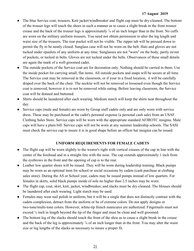- The blue Service coat, trousers, Knit jacket/windbreaker and flight cap must be dry-cleaned. The bottom of the trouser legs will touch the shoes in such a manner as to cause a slight break in the front trouser crease and the back of the trouser legs is approximately  $\frac{7}{8}$  of an inch longer than in the front. No cuffs are worn on the military uniform trousers. You need not obtain permission to alter the leg length and waist size of the trousers. The rear pocket will not be visible. The zipper tab will be pressed down to permit the fly to be neatly closed. Sunglass case will not be worn on the belt. Hats and gloves are not tucked under epaulets of any uniform at any time. Sunglasses are not "worn" on the body, partly in/out of pockets, or tucked in belts. Gloves are not tucked under the belts. Observances of these small details are again the mark of a well-groomed cadet.
- The outside pockets of the Service coat are for decoration only. Nothing should be carried in them. Use the inside pocket for carrying small, flat items. All outside pockets and snaps will be secure at all time. The Service coat may be removed in the classroom, or if your in a fixed location, it will be carefully draped over the back of the chair. The necktie will not be removed or loosened even though the Service coat is removed, however it is to not be removed while eating. Before leaving classroom, the Service coat will be donned and buttoned.
- Shirts should be laundered after each wearing. Medium starch will keep the shirts neat throughout the day.
- Service caps (male and female) are worn by Group staff cadets only and are only worn with service dress. These may be purchased at the cadet's personal expense (a personal cash sale) from an USAF Clothing Sales Store. Service caps will be worn with the appropriate standard AFJROTC insignia. Male caps will have a plain bill. Service caps will not be worn at any summer leadership schools. The SASI must check the service cap to insure it is in good shape before an officer hat insignia can be issued.

## **UNIFORM REQUIREMENTS FOR FEMALE CADETS**

- The flight cap will be worn slightly to the wearer's right with vertical creases of the cap in line with the center of the forehead and in a straight line with the nose. The cap extends approximately 1 inch from the eyebrows in the front and the opening of cap is to the rear.
- Leather low quarter shoes will be issued. They will be worn during leadership training. Black pumps may be worn as an optional item for school or social occasions by cadets (cash purchase at clothing sales store). During the AS or School year, cadets may be issued pumps instead of low quarters. For females in skirts, solid black pumps inside of sole no higher than 2.5 inches may be worn.
- The flight cap, coat, skirt, knit, jacket, windbreaker, and slacks must be dry-cleaned. The blouses should be laundered after each wearing. Light starch may be used.
- Females may wear nail polish in uniform, but it will be a single that does not distinctly contrast with the cadets complexion, detract from the uniform or be of extreme colors. Do not apply designs or two-tone/multi-tone colors. However, white-tip french manicures are authorized. Fingernails must not exceed  $\frac{1}{4}$  inch in length beyond the tip of the finger and must be clean and well groomed.
- The bottom leg of the slacks should touch the front of the shoe as to cause a slight break in the crease and the back of the leg is approximately  $\frac{7}{8}$  of an inch longer than in the front. You may alter the waist size or leg lengths of the slacks as necessary to insure a proper fit.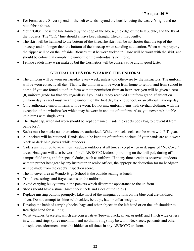- For Females the Silver tip end of the belt extends beyond the buckle facing the wearer's right and no blue fabric shows.
- Your "GIG" line is the line formed by the edge of the blouse, the edge of the belt buckle, and the fly of the trousers. The "GIG" line should always keep straight. Check it frequently.
- The skirt will be hemmed to the bottom of the knee. The skirt will be no shorter than the top of the kneecap and no longer than the bottom of the kneecap when standing at attention. When worn properly the zipper will be on the left side. Blouses must be worn tucked in. Hose will be worn with the skirt, and should be colors that comply the uniform or the individual's skin tone.
- Female cadets may wear makeup but the Cosmetics will be conservative and in good taste.

## **GENERAL RULES FOR WEARING THE UNIFORM**

- The uniform will be worn on Tuesday every week, unless told otherwise by the instructors. The uniform will be worn correctly all day. That is, the uniform will be worn from home to school and from school to home. If you are found out of uniform without permission from an instructor, you will be given a zero (0) uniform grade for that day regardless if you had already received a uniform grade. If absent on uniform day, a cadet must wear the uniform on the first day back to school, or an official make-up day.
- Only authorized uniform items will be worn. Do not mix uniform items with civilian clothing, with the exception of the windbreaker which may be worn in and out of uniform. Also, you never mix double knit items with single knits.
- The flight cap, when not worn should be kept contained inside the cadets book bag to prevent it from being lost/.
- Socks must be black; no other colors are authorized. White or black socks can be worn with P.T. gear.
- All pockets will be buttoned. Hands should be kept out of uniform pockets. If your hands are cold wear black or dark blue gloves while outdoors.
- Cadets are required to wear their headgear outdoors at all times except when in designated "No Cover" areas. Headgear will also be worn for all AFJROTC leadership training on the drill pad, during off campus field trips, and for special duties, such as uniform. If at any time a cadet is observed outdoors without proper headgear by any instructor or senior officer, the appropriate deduction for no headgear will be made from the cadet's inspection score.
- The no cover area at Wando High School is the outside seating at lunch.
- Trim loose strings and frayed seams on the uniform.
- Avoid carrying bulky items in the pockets which distort the appearance to the uniform.
- Shoes should have a shine (hint: check heels and sides of the soles.)
- Replace missing buttons promptly. Like most of the insignia, buttons on the blue coat are oxidized silver. Do not attempt to shine belt buckles, belt tips, hat, or collar insignia.
- Develop the habit of carrying books, bags and other objects in the left hand or on the left shoulder to free right hand for saluting.
- Wrist watches, bracelets, which are conservative (brown, black, silver, or gold) and 1 inch wide or less in width and rings (three maximum and no thumb ring) may be worn. Necklaces, pendants and other conspicuous adornments must be hidden at all times in any AFJROTC uniform.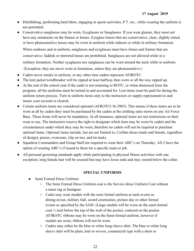- Hitchhiking, performing hard labor, engaging in sports activities, P.T. etc., while wearing the uniform is not permitted.
- Conservative sunglasses may be worn. Eyeglasses or Sunglasses. If you wear glasses, they must not have any ornaments on the frames or lenses. Eyeglass lenses that are conservative, clear, slightly tinted, or have photosensitive lenses may be worn in uniform while indoors or while in military formation.

When outdoors and in uniform, sunglasses and eyeglasses must have lenses and frames that are conservative; faddish or mirrored lenses are prohibited. Sunglasses are not allowed while in a military formation. Neither eyeglasses nor sunglasses can be worn around the neck while in uniform. (Exception: they are never worn in formation, unless they are photosensitive.)

- Cadets never smoke in uniform, or any other time cadets represent AFJROTC.
- The knit jacket/windbreaker will be zipped at least halfway then worn or all the way zipped up.
- At the end of the school year if the cadet is not returning to ROTC, or when dismissed from the program, all the uniforms must be turned in and accounted for. Lost items must be paid for during the uniform return process. Turn in uniform items only to the instructors or supply representatives and insure your account is cleared.
- Certain uniform items are considered optional (AFROTCI 36-2903). This means if these items are to be worn at all by cadets they must be purchased by the cadets at the clothing sales stores on any Air Force Base. These items will never be mandatory. In all instances, optional items are not restrictions on their wear or use. The instructors reserve the right to designate which item may be worn by cadets and the circumstances under which they may be worn, therefore no cadets will not be required to purchase optional items. Optional items include, but are not limited to, Corfam shoes (male and female, regardless of design), purses, overcoats, clip on ties, and tie-tacks.
- Squadron Commanders and Group Staff are required to wear their ABU's on Thursday. AS-2 have the option of wearing ABU's if issued to them for a specific team or job.
- All personal grooming standards apply while participating in physical fitness activities with one exception, long female hair will be secured but may have loose ends and may extend below the collar.

## **SPECIAL UNIFORMS**

- Semi Formal Dress Uniform
	- $\circ$  The Semi Formal Dress Uniform coat is the Service dress Uniform Coat without a name tag or headgear.
	- Cadet may wear medals with the semi formal uniform at such events as dining-in/out, military ball, award ceremonies, picture day or other formal events as specified by the SASI. (Large medals will be worn on the semi-formal coat ½ inch below the top of the welt of the pocket, centered on the pocket. AFJROTC ribbons may be worn on the Semi-formal uniform, however if medals are worn, ribbons will not be worn.
	- Cadets may either be the blue or white long-sleeve shirt. The blue or white long sleeve shirt will be plain, knit or woven, commercial type with a short or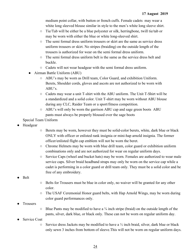medium point collar, with button or french cuffs. Female cadets may wear a white long sleeved blouse similar in style to the men's white long sleeve shirt.

- Tie/Tab will be either be a blue polyester or silk, herringbone, twill tie/tab or may be worn with either the blue or white long-sleeved shirt.
- The semi formal dress uniform trousers or skirt are the same as service dress uniform trousers or skirt. No stripes (braiding) on the outside length of the trousers is authorized for wear on the semi formal dress uniform.
- $\circ$  The semi formal dress uniform belt is the same as the service dress belt and buckle.
- Cadets will not wear headgear with the semi formal dress uniform.
- Airman Battle Uniform (ABU)
	- ABU's may be worn as Drill team, Color Guard, and exhibition Uniform. Berets, Shoulder cords, gloves and ascots are not authorized to be worn with ABU's.
	- Cadets may wear a unit T-shirt with the ABU uniform. The Unit T-Shirt will be a standardized and a solid color. Unit T-shirt may be worn without ABU blouse during any CLC, Raider Team or a sport/fitness competition.
	- ABU's will only be worn the garrison ABU cap and sage green boots ABU pants must always be properly bloused over the sage boots

Special Team Uniform

- Headgear
- Berets may be worn, however they must be solid-color berets, white, dark blue or black ONLY with officer or enlisted rank insignia or mini-hap arnold insignia. The former officer/enlisted flight cap emblem will not be worn the beret.
- Chrome Helmets may be worn with blue drill team, color guard or exhibition uniform combinations only and are not authorized for wear on regular uniform days.
- Service Caps (wheel and bucket hats) may be worn. Females are authorized to wear male service caps. Silver braid headband straps may only be worn on the service cap while a cadet is performing in a color guard or drill team only. They must be a solid color and be free of any embroidery.
- Belt
- Belts for Trousers must be blue in color only, no waiver will be granted for any other color.
- The USAF Ceremonial Honor guard belts, with Hap Arnold Wings, may be worn during color guard performances only.
- **Trousers**
- $\circ$  Blue Pants may be modified to have a  $\frac{3}{4}$  inch stripe (braid) on the outside length of the pants, silver, dark blue, or black only. These can not be worn on regular uniform day.
- **Service Coat** 
	- $\circ$  Service dress Jackets may be modified to have a  $\frac{1}{2}$  inch braid, silver, dark blue or black only sewn 3 inches from bottom of sleeve.This will not be worn on regular uniform days.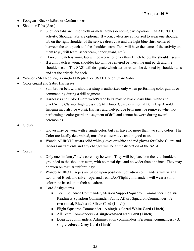- Footgear- Black Oxford or Corfam shoes
- Shoulder Tabs (Arcs)
	- Shoulder tabs are either cloth or metal arches denoting participation in an AFJROTC activity. Shoulder tabs are optional. If worn, cadets are authorized to wear one shoulder tab on the right shoulder of the service dress coat and the light blue shirt, centered between the unit patch and the shoulder seam. Tabs will have the name of the activity on them (e.g., drill team, saber team, honor guard, etc.).
	- If no unit patch is worn, tab will be worn no lower than 1 inch below the shoulder seam.
	- If a unit patch is worn, shoulder tab will be centered between the unit patch and the shoulder seam. The SASI will designate which activities will be denoted by shoulder tabs and set the criteria for each.
- Weapon- M-1 Replica, Springfield Replica, or USAF Honor Guard Sabre
- Color Guard and Saber Harnesses
	- Sam brown belt with shoulder strap is authorized only when performing color guards or commanding during a drill segment
	- Harnesses and Color Guard web/Parade belts may be black, dark blue, white and black/white Clarino (high gloss). USAF Honor Guard ceremonial Belt (Hap Arnold Insignia may also be worn). Harness and web/parade belts must be removed when not performing a color guard or a segment of drill and cannot be worn during award ceremonies
- **Gloves**
- Gloves may be worn with a single color, but can have no more than two solid colors. The Color are locally determined, must be conservative and in good taste.
- Wando AFJROTC wears solid white gloves or white and red gloves for Color Guard and Honor Guard events and any changes will be at the discretion of the SASI.
- **Cords**
- Only one "infantry" style core may be worn. They will be placed on the left shoulder, grounded to the shoulder seam, with no metal tips, and no wider than one inch. They may be worn on regular uniform days.
- Wando AFJROTC ropes are based upon positions. Squadron commanders will wear a two-toned Black and silver rope, and Team/Job/Flight commanders will wear a solid color rope based upon their squadron.
- Cord Assignments
	- Team Squadron Commander, Mission Support Squadron Commander, Logistic Readiness Squadron Commander, Public Affairs Squadron Commander - **A two-toned, Black and Silver Cord (1 inch)**
	- Flight Squadron Commander  **A single-colored White Cord (1 inch)**
	- All Team Commanders **A single-colored Red Cord (1 inch)**
	- Logistics commanders, Administration commanders, Personnel commanders  **A single-colored Grey Cord (1 inch)**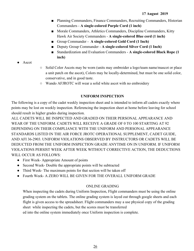- Planning Commanders, Finance Commanders, Recruiting Commanders, Historian Commanders - **A single-colored Purple Cord (1 inch)**
- Morale Commanders, Athletics Commanders, Discipline Commanders, Kitty Hawk Air Society Commanders - **A single-colored Blue cord (1 inch)**
- Group Commander **A single-colored Gold Cord (1 Inch)**
- Deputy Group Commander A single-colored Silver Cord (1 Inch)
- Standardization and Evaluation Commanders A single-colored Black Rope (1 **inch)**
- Ascot
- Solid Color Ascots may be worn (units may embroider a logo/team name/mascot or place a unit patch on the ascot), Colors may be locally-determined, but must be one solid color, conservative, and in good taste.
- Wando AFJROTC will wear a solid white ascot with no embroidery

## **UNIFORM INSPECTION**

The following is a copy of the cadet weekly inspection sheet and is intended to inform all cadets exactly where points may be lost on weekly inspection. Referencing the inspection sheet at home before leaving for school should result in higher grades during inspection.

ALL CADETS WILL BE INSPECTED AND GRADED ON THEIR PERSONAL APPEARANCE AND WEAR OF THE UNIFORM. CADETS WILL RECEIVE A GRADE OF 0 TO 100 STARTING AT 92 DEPENDING ON THEIR COMPLIANCE WITH THE UNIFORM AND PERSONAL APPEARANCE STANDARDS LISTED IN THE AIR FORCE JROTC OPERATIONAL SUPPLEMENT, CADET GUIDE, AND AFI 36-2903. UNIFORM VIOLATIONS OBSERVED BY INSTRUCTORS OR CADETS WILL BE DEDUCTED FROM THE UNIFORM INSPECTION GRADE ANYTIME ON IN UNIFORM. IF UNIFORM VIOLATIONS PERSIST WEEK AFTER WEEK WITHOUT CORRECTIVE ACTION, THE DEDUCTIONS WILL OCCUR AS FOLLOWS:

- First Week- Appropriate Amount of points
- Second Week- Double the appropriate points will be subtracted
- Third Week- The maximum points for that section will be taken off
- Fourth Week- A ZERO WILL BE GIVEN FOR THE OVERALL UNIFORM GRADE

## ONLINE GRADING

When inspecting the cadets during Uniform Inspection, Flight commanders must be using the online grading system on the tablets. The online grading system is layed out through google sheets and each flight is given access to the spreadsheet. Flight commanders may a use physical copy of the grading sheet while inspecting the cadets, but the scores must be transferred ed into the online system immediately once Uniform inspection is complete.

26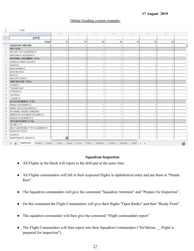### Online Grading system example:

| fx              | DATE:                                                                       |                          |                                                          |                          |                          |                          |                          |                          |                                        |
|-----------------|-----------------------------------------------------------------------------|--------------------------|----------------------------------------------------------|--------------------------|--------------------------|--------------------------|--------------------------|--------------------------|----------------------------------------|
|                 | $\mathbb A$                                                                 | $\boxminus$              | $\mathbb C$                                              | D                        | Ε                        | F                        | G                        | H                        |                                        |
| $\mathbf{1}$    | DATE:                                                                       |                          |                                                          |                          |                          |                          |                          |                          |                                        |
| $\mathbf{2}$    | Grade                                                                       | 92                       | 92                                                       | 92                       | 92                       | 92                       | 92                       | 92                       |                                        |
| 3               | <b>ABSENT/NO UNIFORM</b>                                                    | ٠                        | $\overline{\phantom{a}}$                                 | $\overline{\phantom{a}}$ | ×                        | $\overline{\phantom{a}}$ |                          | $\overline{\phantom{a}}$ |                                        |
| $\overline{4}$  | HAT: 12 Pts                                                                 |                          |                                                          |                          |                          |                          |                          |                          |                                        |
| 5               | NO HAT-12/PLACEMENT-2                                                       | ÷                        |                                                          | $\overline{\mathbf{v}}$  | $\overline{\mathcal{F}}$ | $\overline{\phantom{a}}$ | $\overline{\phantom{a}}$ | $\overline{\phantom{a}}$ |                                        |
| 6               | <b>INSIGNIA PLACEMENT-5</b>                                                 | ÷                        | $\overline{\phantom{a}}$                                 | $\overline{\mathbf{v}}$  | v.                       | $\overline{\mathcal{R}}$ | $\overline{\phantom{a}}$ | $\overline{\phantom{a}}$ |                                        |
| 7               | <b>PERSONAL GROOMING: 11 Pts</b>                                            | $\overline{\phantom{a}}$ | $\overline{\phantom{a}}$                                 | ٠                        | $\overline{\phantom{a}}$ | $\overline{\mathbf{v}}$  | $\overline{\mathbf{v}}$  |                          |                                        |
| 8               | <b>HAIRCUT/HAIR COLOR-5</b>                                                 | ÷                        | $\overline{\phantom{a}}$                                 | $\rightarrow$            | $\overline{\phantom{a}}$ | $\overline{\phantom{a}}$ | $\rightarrow$            |                          |                                        |
| $\circ$         | SHAVE-5                                                                     | $\overline{\phantom{a}}$ | $\rightarrow$                                            | $\overline{\mathcal{R}}$ | v.                       | $\overline{\mathbf{v}}$  | $\overline{\mathbf{v}}$  |                          |                                        |
| 10 <sup>°</sup> | <b>SIDE BURNS-5</b>                                                         | ٠                        | $\overline{\mathbf{v}}$                                  | $\overline{\phantom{a}}$ | $\overline{\mathbf{w}}$  | $\overline{\mathbf{v}}$  | $\overline{\phantom{a}}$ |                          |                                        |
| 11              | MUSTACHE-5                                                                  | ÷                        | $\mathbf{v}$                                             | $\overline{\phantom{a}}$ | $\overline{\phantom{a}}$ | $\overline{\phantom{a}}$ | ٠                        |                          |                                        |
| 12              | BULK-5                                                                      | ÷                        | $\overline{\phantom{a}}$                                 | $\rightarrow$            | ٠                        | <b>1999</b>              |                          |                          |                                        |
| 13              | NAILS/POLISH-5                                                              |                          | $\overline{\phantom{a}}$                                 | ×                        | ÷                        | $\overline{\mathbf{v}}$  | $\mathbf{v}$             |                          |                                        |
| 14              | <b>SHIRT/BLOUSE: 12 Pts</b>                                                 |                          | $\overline{\phantom{a}}$                                 |                          | $\overline{\phantom{a}}$ |                          |                          |                          |                                        |
| 15              | CLEAN-5                                                                     | $\overline{\phantom{a}}$ | $\overline{\phantom{a}}$                                 | $\overline{\mathbf{v}}$  | v.                       | $\overline{\phantom{a}}$ | $\overline{\phantom{a}}$ | $\overline{\phantom{a}}$ |                                        |
| 16              | <b>TUCKED IN-5</b>                                                          | ÷                        | $\pi$                                                    | $\overline{\mathcal{M}}$ | $\mathcal{F}$            | $\overline{\phantom{a}}$ | $\overline{\phantom{a}}$ | $\overline{\phantom{a}}$ |                                        |
| 17              | STRINGS-2                                                                   | $\overline{\phantom{a}}$ | $\overline{\phantom{a}}$                                 | $\overline{\mathbf{v}}$  | $\overline{\phantom{a}}$ | $\overline{\mathcal{F}}$ | $\overline{\phantom{a}}$ | $\rightarrow$            |                                        |
| 18              | TIE/TAB-5                                                                   | ÷                        | $\overline{\phantom{a}}$                                 | $\mathbf{v}$             | $\overline{\mathbf{v}}$  | $\overline{\mathbf{v}}$  | $\overline{\phantom{a}}$ | $\overline{\phantom{a}}$ |                                        |
| 19              | T-SHIRT-5                                                                   | ÷                        | $\overline{\mathbf{v}}$                                  | $\ddot{}$                | $\overline{\mathbf{v}}$  | $\overline{\phantom{a}}$ | $\overline{\phantom{a}}$ |                          |                                        |
| 20 <sup>2</sup> | <b>ACCOUTREMENTS: 11 Pts</b>                                                |                          |                                                          |                          |                          |                          |                          |                          |                                        |
| 21              | <b>RANK PLACEMENT-2</b>                                                     | $\overline{\phantom{a}}$ | $\overline{\phantom{a}}$                                 | ٠                        | $\overline{\phantom{a}}$ | $\overline{\mathbf{v}}$  | $\overline{\phantom{a}}$ | $\overline{\phantom{a}}$ |                                        |
| 22              | <b>NAME TAG PLACEMENT-2</b>                                                 | ÷                        | $\overline{\phantom{a}}$                                 | ٠                        | ٠                        | $\overline{\phantom{a}}$ | ٠                        |                          |                                        |
| 23              | NO NAME TAG/NO RIBBON-5                                                     | ÷                        | $\overline{\phantom{a}}$                                 | $\overline{\mathbf{v}}$  | $\overline{\phantom{a}}$ | $\overline{\mathbf{v}}$  | $\overline{\mathbf{v}}$  | $\overline{\phantom{a}}$ |                                        |
| 24              | RIBBON PLACEMENT/ALIGNED-2                                                  | $\overline{\phantom{a}}$ | $\overline{\phantom{a}}$                                 | $\overline{\mathcal{R}}$ | ×.                       | $\overline{\phantom{a}}$ | $\overline{\mathbf{v}}$  | $\overline{\phantom{a}}$ |                                        |
| 25              | <b>BADGE PLACEMENT-2</b>                                                    | ÷                        | ÷                                                        | ٠                        | $\overline{\phantom{a}}$ | $\overline{\phantom{a}}$ | $\overline{\phantom{a}}$ |                          |                                        |
| 26              | <b>TROUSERS/SKIRT: 11 Pts</b>                                               |                          |                                                          |                          |                          |                          |                          |                          |                                        |
| 27              | NO BELT-11                                                                  | ٠                        | $\scriptstyle\rm w$                                      | $\overline{\mathbf{v}}$  | $\overline{\phantom{a}}$ | $\overline{\phantom{a}}$ | ÷                        | $\overline{\phantom{a}}$ |                                        |
| 28              | BELT LOOPS/BELT TIP ALIGNMENT-2                                             | ٠                        | $\overline{\mathbf{v}}$                                  | $\overline{\mathbf{v}}$  | $\overline{\phantom{a}}$ | $\overline{\phantom{a}}$ | ٠                        |                          |                                        |
| 29              | <b>REAR BUTTON-2</b>                                                        | ٠                        | $\overline{\phantom{a}}$                                 | $\overline{\phantom{a}}$ | $\overline{\phantom{a}}$ | $\overline{\phantom{a}}$ | $\overline{\phantom{a}}$ |                          |                                        |
| 30              | CLEAN-5                                                                     | ÷                        | $\overline{\phantom{a}}$                                 | $\overline{\phantom{a}}$ | $\overline{\phantom{a}}$ | $\rightarrow$            | $\overline{\phantom{a}}$ |                          |                                        |
| 31              | <b>SKIRT/PANTS LENGTH-5</b>                                                 | $\overline{\mathbf{z}}$  | $\overline{\mathbf{v}}$                                  | $\mathcal{L}$            | $\overline{\mathbf{v}}$  | ÷                        | $\overline{\mathbf v}$   | $\overline{\phantom{a}}$ |                                        |
|                 | TEMPLATE -<br>Bootle $\star$ Brown $\star$ Clark $\star$<br>$+$<br>$\equiv$ |                          | Daniel - Druk - Fedor - Hayman - Herdon - Herring - Higm |                          |                          |                          | $\mathbb{F}$             |                          | $\mathcal{R}=\mathcal{R}$<br><b>K3</b> |

#### **Squadron Inspection**

- All Flights in the block will report to the drill pad at the same time.
- All Flights commanders will fall in their respected flights in alphabetical order and put them at "Parade Rest".
- The Squadron commanders will give the command "Squadron Attention" and "Prepare for Inspection".
- On this command the Flight Commanders will give their flights "Open Ranks" and then "Ready Front".
- The squadron commander will then give the command "Flight commanders report"
- The Flight Commanders will then report into their Squadron Commanders ("Sir/Ma'am \_\_ Flight is prepared for inspection").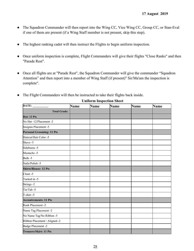- The Squadron Commander will then report into the Wing CC, Vice Wing CC, Group CC, or Stan-Eval if one of them are present (if a Wing Staff member is not present, skip this step).
- The highest ranking cadet will then instruct the Flights to begin uniform inspection.
- Once uniform inspection is complete, Flight Commanders will give their flights "Close Ranks" and then "Parade Rest".
- Once all flights are at "Parade Rest", the Squadron Commander will give the commander "Squadron" Attention" and then report into a member of Wing Staff (if present)" Sir/Ma'am the inspection is complete".
- The Flight Commanders will then be instructed to take their flights back inside.

| DATE:                            | <b>Name</b> | <b>Name</b> | <b>Name</b> | <b>Name</b> | <b>Name</b> |
|----------------------------------|-------------|-------------|-------------|-------------|-------------|
| <b>Total Grade:</b>              |             |             |             |             |             |
| Hat: 12 Pts                      |             |             |             |             |             |
| No Hat -12/Placement -2          |             |             |             |             |             |
| Insignia Placement -5            |             |             |             |             |             |
| <b>Personal Grooming: 11 Pts</b> |             |             |             |             |             |
| Haircut/Hair Color -5            |             |             |             |             |             |
| Shave -5                         |             |             |             |             |             |
| Sideburns -5                     |             |             |             |             |             |
| Mustache -5                      |             |             |             |             |             |
| Bulk-5                           |             |             |             |             |             |
| Nails/Polish -5                  |             |             |             |             |             |
| <b>Shirts/Blouse: 12 Pts</b>     |             |             |             |             |             |
| Clean -5                         |             |             |             |             |             |
| Tucked in -5                     |             |             |             |             |             |
| Strings -2                       |             |             |             |             |             |
| Tie/Tab -5                       |             |             |             |             |             |
| T-shirt-5                        |             |             |             |             |             |
| <b>Accoutrements: 11 Pts</b>     |             |             |             |             |             |
| Rank Placement -2                |             |             |             |             |             |
| Name Tag Placement -2            |             |             |             |             |             |
| No Name Tag/No Ribbon -5         |             |             |             |             |             |
| Ribbon Placement / Aligned -2    |             |             |             |             |             |
| Badge Placement -2               |             |             |             |             |             |
| <b>Trousers/Skirt: 11 Pts</b>    |             |             |             |             |             |

#### **Uniform Inspection Sheet**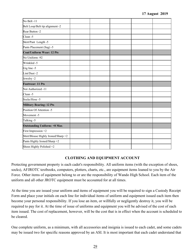| No Belt -11                         |  |  |  |
|-------------------------------------|--|--|--|
| Belt Loop/Belt tip alignment -2     |  |  |  |
| Rear Button -2                      |  |  |  |
| Clean -5                            |  |  |  |
| Skirt/Pant Length -5                |  |  |  |
| Pants Placement (Sag) -5            |  |  |  |
| <b>Coat/Uniform Wear: 12 Pts</b>    |  |  |  |
| No Uniform -92                      |  |  |  |
| Wrinkled -5                         |  |  |  |
| Gig line -5                         |  |  |  |
| Lint/Dust-2                         |  |  |  |
| Jewelry -2                          |  |  |  |
| <b>Footwear: 11 Pts</b>             |  |  |  |
| Not Authorized -11                  |  |  |  |
| Clean -5                            |  |  |  |
| Socks/Hose -5                       |  |  |  |
| <b>Military Bearing: 12 Pts</b>     |  |  |  |
| Position Of Attention -5            |  |  |  |
| Movement -5                         |  |  |  |
| Talking -5                          |  |  |  |
| <b>Outstanding Uniform: +8 Max</b>  |  |  |  |
| First Impression +2                 |  |  |  |
| Shirt/Blouse Highly Ironed/Sharp +2 |  |  |  |
| Pants Highly Ironed/Sharp +2        |  |  |  |
| Shoes Highly Polished +2            |  |  |  |

## **CLOTHING AND EQUIPMENT ACCOUNT**

Protecting government property is each cadet's responsibility. All uniform items (with the exception of shoes, socks), AFJROTC textbooks, computers, plotters, charts, etc., are equipment items loaned to you by the Air Force. Other items of equipment belong to or are the responsibility of Wando High School. Each item of the uniform and all other JROTC equipment must be accounted for at all times.

At the time you are issued your uniform and items of equipment you will be required to sign a Custody Receipt Form and place your initials on each line for individual items of uniform and equipment issued each item then become your personal responsibility. If you lose an item, or willfully or negligently destroy it, you will be required to pay for it. At the time of issue of uniforms and equipment you will be advised of the cost of each item issued. The cost of replacement, however, will be the cost that is in effect when the account is scheduled to be cleared.

One complete uniform, as a minimum, with all accessories and insignia is issued to each cadet, and some cadets may be issued two for specific reasons approved by an ASI. It is most important that each cadet understand that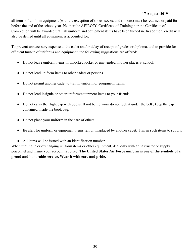all items of uniform equipment (with the exception of shoes, socks, and ribbons) must be returned or paid for before the end of the school year. Neither the AFJROTC Certificate of Training nor the Certificate of Completion will be awarded until all uniform and equipment items have been turned in. In addition, credit will also be denied until all equipment is accounted for.

To prevent unnecessary expense to the cadet and/or delay of receipt of grades or diploma, and to provide for efficient turn-in of uniforms and equipment, the following suggestions are offered:

- Do not leave uniform items in unlocked locker or unattended in other places at school.
- Do not lend uniform items to other cadets or persons.
- Do not permit another cadet to turn in uniform or equipment items.
- Do not lend insignia or other uniform/equipment items to your friends.
- Do not carry the flight cap with books. If not being worn do not tuck it under the belt, keep the cap contained inside the book bag.
- Do not place your uniform in the care of others.
- Be alert for uniform or equipment items left or misplaced by another cadet. Tum in such items to supply.
- All items will be issued with an identification number.

When turning in or exchanging uniform items or other equipment, deal only with an instructor or supply personnel and insure your account is correct.**The United States Air Force uniform is one of the symbols of a proud and honorable service. Wear it with care and pride.**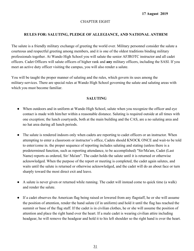#### CHAPTER EIGHT

## **RULES FOR: SALUTING, PLEDGE OF ALLEGIANCE, AND NATIONAL ANTHEM**

The salute is a friendly military exchange of greeting the world over. Military personnel consider the salute a courteous and respectful greeting among members, and it is one of the oldest traditions binding military professionals together. At Wando High School you will salute the senior AFJROTC instructor and all cadet officers. Cadet Officers will salute officers of higher rank and **any** military officers, including the SASI. If you meet an active duty officer visiting the campus, you will also render a salute.

You will be taught the proper manner of saluting and the rules, which govern its uses among the military-services. There are special rules at Wando High School governing the salute and saluting areas with which you must become familiar.

#### **SALUTING**

- When outdoors and in uniform at Wando High School, salute when you recognize the officer and eye contact is made with him/her within a reasonable distance. Saluting is required outside at all times with one exception; the lunch courtyards, both at the main building and the CAS, are a no saluting area and no hat area during all lunch periods.
- The salute is rendered indoors only when cadets are reporting to cadet officers or an instructor. When attempting to enter a classroom or instructor's office, Cadets should KNOCK ONCE and wait-to be told to enter/come in. the proper sequence of reporting includes saluting and stating (unless there is a predetermined function, such as reporting attendance, to be accomplished) "Sir/Ma'am, Cadet (Last Name) reports as ordered, Sir/ Ma'am". The cadet holds the salute until it is returned or otherwise acknowledged. When the purpose of the report or meeting is completed, the cadet again salutes, and waits until the salute is returned or otherwise acknowledged, and the cadet will do an about face or turn sharply toward the most direct exit and leave.
- A salute is never given or returned while running. The cadet will instead come to quick time (a walk) and render the salute.
- If a cadet observes the American flag being raised or lowered from any flagstaff, he or she will assume the position of attention, render the hand salute (if in uniform) and hold it until the flag has reached the summit or base of the flag staff. If the cadet is in civilian clothes, he or she will assume the position of attention and place the right hand over the heart. If a male cadet is wearing civilian attire including headgear, he will remove the headgear and hold it to his left shoulder so the right hand is over the heart.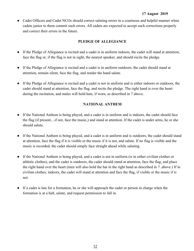• Cadet Officers and Cadet NCOs should correct saluting errors in a courteous and helpful manner when cadets junior to them commit such errors. All cadets are expected to accept such corrections properly and correct their errors in the future.

### **PLEDGE OF ALLEGIANCE**

- If the Pledge of Allegiance is recited and a cadet is in uniform indoors, the cadet will stand at attention, face the flag or, if the flag is not in sight, the nearest speaker, and should recite the pledge.
- If the Pledge of Allegiance is recited and a cadet is in uniform outdoors, the cadet should stand at attention, remain silent, face the flag, and render the hand salute.
- If the Pledge of Allegiance is recited and a cadet is not in uniform and is either indoors or outdoors, the cadet should stand at attention, face the flag, and recite the pledge. The right hand is over the heart during the recitation, and males will hold hats, if worn, as described in 7 above.

## **NATIONAL ANTHEM**

- If the National Anthem is being played, and a cadet is in uniform and is indoors, the cadet should face the flag (if present....if not, face the music,) and stand at attention. If the cadet is under arms, he or she should salute.
- If the National Anthem is being played, and a cadet is in uniform and is outdoors, the cadet should stand at attention, face the flag if it is visible or the music if it is not, and salute. If no flag is visible and the music is recorded, the cadet should simply face straight ahead while saluting.
- If the National Anthem is being played, and a cadet is not in uniform (is in either civilian clothes or athletic clothes), and the cadet is outdoors, the cadet should stand at attention, face the flag, and place the right hand over the heart (men will also hold the hat in the right hand as described in 7. above.) If in civilian clothes, indoors, the cadet will stand at attention and face the flag, if visible or the music if is not.
- If a cadet is late for a formation, he or she will approach the cadet or person in charge when the formation is at a halt, salute, and request permission to fall in.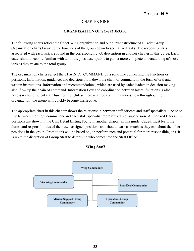### CHAPTER NINE

## **ORGANIZATION OF SC-872 JROTC**

The following charts reflect the Cadet Wing organization and our current structure of a Cadet Group. Organization charts break up the functions of the group down to specialized tasks. The responsibilities associated with each task are found in the corresponding job description in another chapter in this guide. Each cadet should become familiar with all of the jobs descriptions to gain a more complete understanding of those jobs as they relate to the total group.

The organization charts reflect the CHAIN OF COMMAND by a solid line connecting the functions or positions. Information, guidance, and decisions flow down the chain of command in the form of oral and written instructions. Information and recommendations, which are used by cadet leaders in decision making also, flow up the chain of command. Information flow and coordination between lateral functions is also necessary for efficient staff functioning. Unless there is a free communications flow throughout the organization, the group will quickly become ineffective.

The appropriate chart in this chapter shows the relationship between staff officers and staff specialists. The solid line between the flight commander and each staff specialist represents direct supervision. Authorized leadership positions are shown in the Unit Detail Listing Found in another chapter in this guide. Cadets must learn the duties and responsibilities of their own assigned positions and should learn as much as they can about the other positions in the group. Promotions will be based on job performance and potential for more responsible jobs. It is up to the discretion of Group Staff to determine who comes into the Staff Office.



## **Wing Staff**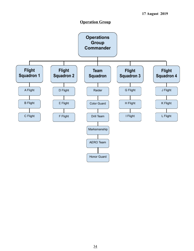## **Operation Group**

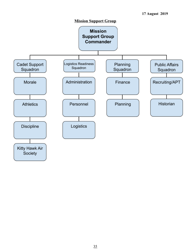

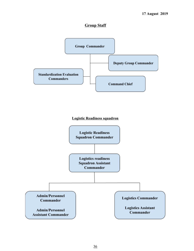## **Group Staff**



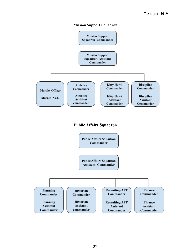#### **Mission Support Squadron**



## **Public Affairs Squadron**

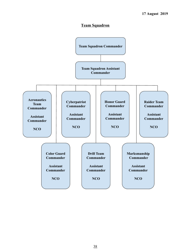## **Team Squadron**

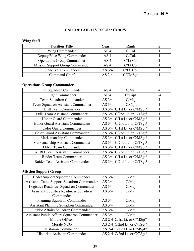## **UNIT DETAIL LIST SC-872 CORPS**

# **Wing Staff**

| <b>Position Title</b>                  | Year            | Rank       |  |
|----------------------------------------|-----------------|------------|--|
| Wing Commander                         | AS <sub>4</sub> | C/Col.     |  |
| Deputy/Vice Wing Commander             | AS <sub>4</sub> | C/Col.     |  |
| <b>Operations Group Commander</b>      | AS <sub>4</sub> | C/Lt Col   |  |
| <b>Mission Support Group Commander</b> | AS <sub>4</sub> | C/Lt Col   |  |
| Stan-Eval Commander                    | AS $3/4$        | C/Lt. Col. |  |
| Command Chief                          | $AS$ 2-4        | C/CMSgt.   |  |

# **Operations Group Commander**

| Flt. Squadron Commander                | AS <sub>4</sub> | C/Maj.                        | 4  |
|----------------------------------------|-----------------|-------------------------------|----|
| Flight Commander                       | AS <sub>4</sub> | C/Capt.                       | 24 |
| Team Squadron Commander                | AS $3/4$        | $C/Mai$ .                     |    |
| Team Squadron Assistant Commander      | AS $3/4$        | $C/C$ apt                     |    |
| Drill Team Commander                   |                 | AS $3/4$ C/1st Lt. or C/MSgt* |    |
| Drill Team Assistant Commander         |                 | AS $3/4$ C/2nd Lt. or C/TSgt* |    |
| Honor Guard Commander                  |                 | AS $3/4$ C/1st Lt. or C/MSgt* |    |
| Honor Guard Assistant Commandant       |                 | AS $3/4$ C/2nd Lt. or C/TSgt* |    |
| <b>Color Guard Commander</b>           |                 | AS $3/4$ C/1st Lt. or C/MSgt* |    |
| <b>Color Guard Assistant Commander</b> |                 | AS $3/4$ C/2nd Lt. or C/TSgt* |    |
| Marksmanship Commander                 |                 | AS $3/4$ C/1st Lt. or C/MSgt* |    |
| Marksmanship Assistant Commander       |                 | AS $3/4$ C/2nd Lt. or C/TSgt* |    |
| <b>AERO Team Commander</b>             |                 | AS $3/4$ C/1st Lt. or C/MSgt* |    |
| <b>AERO Team Assistant Commander</b>   |                 | AS $3/4$ C/2nd Lt. or C/TSgt* |    |
| Raider Team Commander                  |                 | AS $3/4$ C/1st Lt. or C/MSgt* |    |
| Raider Team Assistant Commander        |                 | AS $3/4$ C/2nd Lt. or C/TSgt* |    |

# **Mission Support Group**

| AS $3/4$ | $C/Mai$ . |                                                                                                                                                |
|----------|-----------|------------------------------------------------------------------------------------------------------------------------------------------------|
| AS $3/4$ | $C/Mai$ . |                                                                                                                                                |
| AS 3/4   | $C/Mai$ . |                                                                                                                                                |
| AS $3/4$ | $C/Mai$ . |                                                                                                                                                |
|          |           |                                                                                                                                                |
| AS $3/4$ | $C/Mai$ . |                                                                                                                                                |
| AS $3/4$ | $C/Mai$ . |                                                                                                                                                |
| AS $3/4$ | $C/Mai$ . |                                                                                                                                                |
| AS 3/4   | C/Maj.    |                                                                                                                                                |
|          |           |                                                                                                                                                |
|          |           |                                                                                                                                                |
|          |           |                                                                                                                                                |
|          |           |                                                                                                                                                |
|          |           | AS 2-4 $C/1st$ Lt. or $C/MSgt^*$<br>AS 2-4 $C/2$ nd Lt. or $C/TSgt^*$<br>AS 2-4 $C/1st$ Lt. or $C/MSgt^*$<br>AS 2-4 $C/2$ nd Lt. or $C/TSgt^*$ |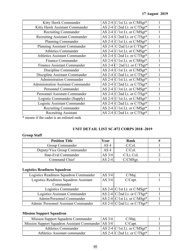| Kitty Hawk Commander                      | AS 2-4 C/1st Lt. or C/MSgt*       |  |
|-------------------------------------------|-----------------------------------|--|
| Kitty Hawk Assistant Commander            | AS 2-4 $C/2$ nd Lt. or $C/TSgt^*$ |  |
| <b>Recruiting Commander</b>               | AS 2-4 $C/1st$ Lt. or $C/MSgt^*$  |  |
| <b>Recruiting Assistant Commander</b>     | AS 2-4 $C/2$ nd Lt. or $C/TSgt^*$ |  |
| Planning Commander                        | AS 2-4 $C/1st$ Lt. or $C/MSgt^*$  |  |
| Planning Assistant Commander              | AS 2-4 $C/2$ nd Lt or $C/TSgt^*$  |  |
| <b>Athletics Commander</b>                | AS 2-4 $C/1st$ Lt. or $C/MSgt^*$  |  |
| <b>Athletics Assistant Commander</b>      | AS 2-4 $C/2$ nd Lt. or $C/TSgt^*$ |  |
| Finance Commander                         | AS 2-4 $C/1st$ Lt. or $C/MSgt^*$  |  |
| <b>Finance Assistant Commander</b>        | AS 2-4 $C/2$ nd Lt. or $C/TSgt^*$ |  |
| Discipline Commander                      | AS 2-4 $C/1st$ Lt. or $C/MSgt^*$  |  |
| Discipline Assistant Commander            | AS 2-4 $C/2$ nd Lt. or $C/TSgt^*$ |  |
| <b>Administration Commander</b>           | AS 2-4 $C/1st$ Lt. or $C/MSgt^*$  |  |
| <b>Administration Assistant Commander</b> | AS 2-4 $C/2$ nd Lt. or $C/TSgt^*$ |  |
| Personnel Commander                       | AS 2-4 $C/1st$ Lt. or $C/MSgt^*$  |  |
| Personnel Assistant Commander             | AS 2-4 $C/2$ nd Lt. or $C/TSgt^*$ |  |
| Logistic Commander (Supply)               | AS 2-4 $C/1st$ Lt. or $C/MSgt^*$  |  |
| Logistic Assistant Commander              | AS 2-4 $C/2$ nd Lt. or $C/TSgt^*$ |  |
| <b>Recruiting Commander</b>               | AS 2-4 $C/1st$ Lt. or $C/MSgt^*$  |  |
| <b>Recruiting Assistant</b>               | AS 2-4 $C/2$ nd Lt. or $C/TSgt^*$ |  |
|                                           |                                   |  |

\* means if the cadet is an enlisted rank

## **UNIT DETAIL LIST SC-872 CORPS 2018 -2019**

# **Group Staff**

| <b>Position Title</b>       | Year     | Rank        |  |
|-----------------------------|----------|-------------|--|
| Group Commander             | AS 4     | $C/Col$ .   |  |
| Deputy/Vice Group Commander | AS 4     | C/Col.      |  |
| Stan-Eval Commander         | AS $3/4$ | C/Lt. Col.  |  |
| Command Chief               | AS 2-4   | $C/CMS$ gt. |  |

## **Logistics Readiness Squadron**

| Logistics Readiness Squadron Commander | AS $3/4$ | $C/Mai$ .                         |  |
|----------------------------------------|----------|-----------------------------------|--|
| Logistics Readiness Squadron Assistant |          | AS $3/4$<br>C/Capt.               |  |
| Commander                              |          |                                   |  |
| Logistics Commander                    |          | AS 2-4 $C/1st$ Lt. or $C/MSgt^*$  |  |
| Logistics Assistant Commander          |          | AS 2-4 $C/2$ nd Lt. or $C/TSgt^*$ |  |
| Admin/Personnel Commander              |          | AS 2-4 $C/1st$ Lt. or $C/MSgt^*$  |  |
| Admin/ Personnel Assistant Commander   |          | AS 2-4 $C/2$ nd Lt. or $C/TSgt^*$ |  |

# **Mission Support Squadron**

| Mission Support Squadron Commander                    | AS $3/4$ | C/Maj.                            |  |
|-------------------------------------------------------|----------|-----------------------------------|--|
| Mission Support Squadron Assistant Commander   AS 3/4 |          | $C/C$ apt.                        |  |
| <b>Athletics Commander</b>                            |          | AS 2-4 $C/1st$ Lt. or $C/MSgt^*$  |  |
| Athletics Assistant commander                         |          | AS 2-4 $C/2$ nd Lt. or $C/TSgt^*$ |  |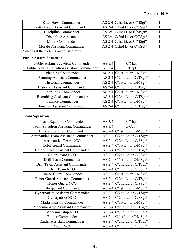| Kitty Hawk Commander           | AS 2-4 $C/1st$ Lt. or $C/MSgt^*$   |  |
|--------------------------------|------------------------------------|--|
| Kitty Hawk Assistant Commander | AS 2-4 $C/2$ nd Lt. or $C/TSgt^*$  |  |
| Discipline Commander           | $AS$ 3/4 $C/1st$ Lt. or $C/MSgt^*$ |  |
| Discipline Assistant           | AS $3/4$ C/2nd Lt. or C/TSgt*      |  |
| Moral Commander                | AS 2-4 $C/1st$ Lt. or $C/MSgt^*$   |  |
| Morale Assistant Commander     | AS 2-4 $C/2$ nd Lt. or $C/TSgt^*$  |  |

\* means if the cadet is an enlisted rank

# **Public Affairs Squadron**

| Public Affairs Squadron Commander           | AS $3/4$ | $C/Mai$ .                         |  |
|---------------------------------------------|----------|-----------------------------------|--|
| Public Affairs Squadron assistant Commander | AS 3/4   | C/Capt.                           |  |
| Planning Commander                          |          | AS 2-4 $C/1st$ Lt. or $C/MSgt^*$  |  |
| Planning Assistant Commander                |          | AS 2-4 $C/2$ nd Lt. or $C/TSgt^*$ |  |
| Historian Commander                         |          | AS 2-4 $C/1st$ Lt. or $C/MSgt^*$  |  |
| Historian Assistant Commander               |          | AS 2-4 $C/2$ nd Lt. or $C/TSgt^*$ |  |
| <b>Recruiting Commander</b>                 |          | AS 2-4 $C/1st$ Lt. or $C/MSgt^*$  |  |
| <b>Recruiting Assistant Commander</b>       |          | AS 2-4 $C/2$ nd Lt. or $C/TSgt^*$ |  |
| <b>Finance Commander</b>                    |          | AS 2-4 $C/1st$ Lt. or $C/MSgt^*$  |  |
| <b>Finance Assistant Commander</b>          |          | AS 2-4 $C/2$ nd Lt. or $C/TSgt^*$ |  |

# **Team Squadron**

| Team Squadron Commander                     | AS 3/4 | $C/Mai$ .                                               |  |
|---------------------------------------------|--------|---------------------------------------------------------|--|
| Team Squadron Assistant Commander           | AS 3/4 | C/Capt.                                                 |  |
| <b>Aeronautics Team Commander</b>           |        | AS 2-4   C/1st Lt. or C/MSgt*                           |  |
| <b>Aeronautics Team Assistant Commander</b> |        | AS 2-4 $C/2$ nd Lt. or $C/TSgt^*$                       |  |
| <b>Aeronautics Team NCO</b>                 |        | AS 2-4 $C/2$ nd Lt. or $C/SSgt^*$                       |  |
| <b>Color Guard Commander</b>                |        | AS 2-4 $C/1st$ Lt. or $C/MSgt^*$                        |  |
| <b>Color Guard Assistant Commander</b>      |        | AS 2-4 $C/2$ nd Lt. or $C/TSgt^*$                       |  |
| Color Guard NCO                             |        | AS 2-4 C/2nd Lt. or C/SSgt*                             |  |
| Drill Team Commander                        |        | $\overline{\text{AS}}$ 2-4 $\vert$ C/1st Lt. or C/MSgt* |  |
| Drill Team Assistant Commander              |        | AS 2-4 $C/2$ nd Lt. or $C/TSgt^*$                       |  |
| Drill Team NCO                              |        | AS 2-4 $C/2$ nd Lt. or $C/SSgt^*$                       |  |
| Honor Guard Commander                       |        | AS 2-4   C/1st Lt. or C/MSgt*                           |  |
| Honor Guard Assistant Commander             |        | AS 2-4 $C/2$ nd Lt. or $C/TSgt^*$                       |  |
| Honor Guard NCO                             |        | AS 2-4 $C/2$ nd Lt. or $C/SSgt^*$                       |  |
| Cyberpatriot Commander                      |        | AS 2-4 $C/1st$ Lt. or $C/MSgt^*$                        |  |
| <b>Cyberpatriot Assistant Commander</b>     |        | AS 2-4 $C/2$ nd Lt. or $C/TSgt^*$                       |  |
| Cyberpatriot NCO                            |        | AS 2-4 $C/2$ nd Lt. or $C/SSgt^*$                       |  |
| Marksmanship Commander                      |        | AS 2-4 $C/1st$ Lt. or $C/MSgt^*$                        |  |
| Marksmanship Assistant Commander            |        | AS 2-4 $C/2$ nd Lt. or $C/TSgt^*$                       |  |
| Marksmanship NCO                            |        | AS 2-4 $C/2$ nd Lt. or $C/SSgt^*$                       |  |
| Raider Commander                            |        | AS 2-4 $C/1st$ Lt. or $C/MSgt^*$                        |  |
| Raider Assistant Commander                  |        | AS 2-4 C/2nd Lt. or C/TSgt*                             |  |
| Raider NCO                                  |        | AS 2-4 $C/2$ nd Lt. or $C/SSgt^*$                       |  |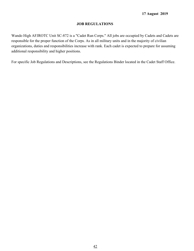## **JOB REGULATIONS**

Wando High AFJROTC Unit SC-872 is a "Cadet Run Corps." All jobs are occupied by Cadets and Cadets are responsible for the proper function of the Corps. As in all military units and in the majority of civilian organizations, duties and responsibilities increase with rank. Each cadet is expected to prepare for assuming additional responsibility and higher positions.

For specific Job Regulations and Descriptions, see the Regulations Binder located in the Cadet Staff Office.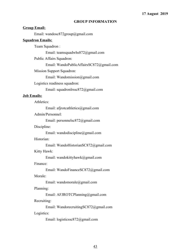#### **GROUP INFORMATION**

#### **Group Email:**

Email: [wandosc872group@gmail.com](mailto:wandosc872group@gmail.com)

#### **Squadron Emails:**

Team Squadron :

Email: teamsquadwhs872@gmail.com

Public Affairs Squadron:

Email: WandoPublicAffairsSC872@gmail.com

Mission Support Squadron:

Email: [Wandomission@gmail.com](mailto:Wandomission@gmail.com)

Logistics readiness squadron:

Email: squadronlrssc872@gmail.com

#### **Job Emails:**

Athletics:

Email: afjrotcathletics@gmail.com

Admin/Personnel:

Email: personnelsc872@gmail.com

Discipline:

Email: [wandodiscipline@gmail.com](mailto:wandodiscipline@gmail.com)

#### Historian:

Email: WandoHistorianSC872@gmail.com

Kitty Hawk:

Email: wandokittyhawk@gmail.com

Finance:

Email: WandoFinanceSC872@gmail.com

## Morale:

Email: wandomorale@gmail.com

### Planning:

Email: AFJROTCPlanning@gmail.com

## Recruiting:

Email: WandorecruitingSC872@gmail.com

Logistics:

Email: [logisticssc872@gmail.com](mailto:logisticssc872@gmail.com)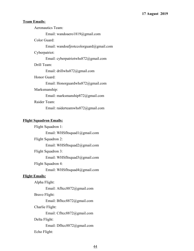## **Team Emails:**

Aeronautics Team:

Email: wandoaero1819@gmail.com

Color Guard:

Email: [wandoafjrotccolorguard@gmail.com](mailto:wandoafjrotccolorguard@gmail.com)

#### Cyberpatriot:

Email: [cyberpatriotwhs872@gmail.com](mailto:cyberpatriotwhs872@gmail.com)

#### Drill Team:

Email: [drillwhs872@gmail.com](mailto:drillwhs872@gmail.com)

#### Honor Guard:

Email: [Honorguardwhs872@gmail.com](mailto:Honorguardwhs872@gmail.com)

## Marksmanship:

Email: marksmanship872@gmail.com

Raider Team:

Email: raiderteamwhs872@gmail.com

#### **Flight Squadron Emails:**

Flight Squadron 1:

Email: WHSfltsquad1@gmail.com

Flight Squadron 2:

Email: WHSfltsquad2@gmail.com

Flight Squadron 3:

Email: WHSfltsquad3@gmail.com

#### Flight Squadron 4:

Email: WHSfltsquad4@gmail.com

### **Flight Emails:**

Alpha Flight:

Email: Afltcc8872@gmail.com

Bravo Flight:

Email: Bfltcc8872@gmail.com

#### Charlie Flight:

Email: Cfltcc8872@gmail.com

## Delta Flight:

Email: Dfltcc8872@gmail.com

Echo Flight: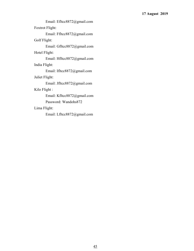Email: Efltcc8872@gmail.com

Foxtrot Flight:

Email: Ffltcc8872@gmail.com Golf Flight:

Email: Gfltcc8872@gmail.com

Hotel Flight:

Email: Hfltcc8872@gmail.com

India Flight:

Email: Ifltcc8872@gmail.com

Juliet Flight:

Email: Jfltcc8872@gmail.com

## Kilo Flight :

Email: Kfltcc8872@gmail.com Password: Wandohs872

## Lima Flight:

Email: Lfltcc8872@gmail.com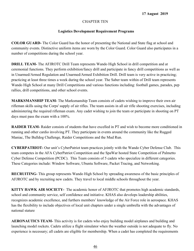## CHAPTER TEN

## **Logistics Development Requirement Programs**

**COLOR GUARD-** The Color Guard has the honor of presenting the National and State flag at school and community events. Distinctive uniform items are worn by the Color Guard. Color Guard also participates in a number of competitions during the school year.

**DRILL TEAM-** The AFJROTC Drill Team represents Wando High School in drill competition and at ceremonial functions. They perform exhibition/fancy drill and participate in fancy drill competitions as well as in Unarmed/Armed Regulation and Unarmed/Armed Exhibition Drill. Drill team is very active in practicing; practicing at least three times a week during the school year. The Saber team within of Drill team represents Wando High School at many Drill Competitions and various functions including: football games, parades, pep rallies, drill competitions, and other school events.

**MARKSMANSHIP TEAM-** The Marksmanship Team consists of cadets wishing to improve their own air rifleman skills using the Corps' supply of air rifles. The team assists in all air rifle shooting exercises, including administering the required rifleman exam. Any cadet wishing to join the team or participate in shooting on PT days must pass the exam with a 100%.

**RAIDER TEAM-** Raider consists of students that have excelled in PT and wish to become more conditioned in running and other cardio involving PT. They participate in events around the community like the Rugged Maniac, The Bulldog Challenge, Raider Competitions and the Mud Run.

**CYBERPATRIOT-** Our unit's CyberPatriot team practices jointly with the Wando Cyber Defense Club. This team competes in the AFA CyberPatriot Competition and the SpaWar hosted State Competition of Palmetto Cyber Defense Competition (PCDC). This Team consists of 5 cadets who specialize in different categories. These Categories include: Window Software, Ubuntu Software, Packet Tracing, and Networking.

**RECRUITING-** This group represents Wando High School by spreading awareness of the basic principles of AFJROTC and by recruiting new cadets. They travel to local middle schools throughout the year.

**KITTY HAWK AIR SOCIETY-** The academic honor of AFJROTC that promotes high academic standards, school and community service, self confidence and initiative. KHAS also develops leadership abilities, recognizes academic excellence, and furthers members' knowledge of the Air Force role in aerospace. KHAS has the flexibility to include objectives of local unit chapters under a single umbrella with the advantages of national stature

**AERONAUTICS TEAM-** This activity is for cadets who enjoy building model airplanes and building and launching model rockets. Cadets utilize a flight simulator when the weather outside is not adequate to fly. No experience is necessary; all cadets are eligible for membership. When a cadet has completed the requirements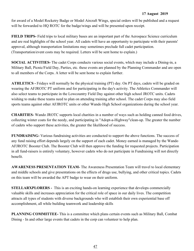for award of a Model Rocketry Badge or Model Aircraft Wings, special orders will be published and a request will be forwarded to HQ ROTC for the badge/wings and will be presented upon receipt.

**FIELD TRIPS-** Field trips to local military bases are an important part of the Aerospace Science curriculum and are real highlights of the school year. All cadets will have an opportunity to participate with their parents' approval, although transportation limitations may sometimes preclude full cadet participation. (Transportation/event costs may be required. Letters will be sent home to explain.)

**SOCIAL ACTIVITIES-** The cadet Corps conducts various social events, which may include a Dining-in, a Military Ball, Picnic/Field Day, Parties, etc. these events are planned by the Planning Commander and are open to all members of the Corps. A letter will be sent home to explain further.

**ATHLETICS -** Fridays will normally be the physical training (PT) day. On PT days, cadets will be graded on wearing the AFJROTC PT uniform and for participating in the day's activity. The Athletics Commander will also select teams to participate in the Lowcountry Field Day against other high school JROTC units. Cadets wishing to make these teams need to plan on attending training after school. The cadet Corps may also field sports teams against other AFJROTC units or other Wando High School organizations during the school year.

**CHARITIES-** Wando JROTC supports local charities in a number of ways such as holding canned food drives, collecting winter coats for the needy, and participating in "Adopt-a-Highway"clean-up. The greater the number of cadets who support these activities, the greater the likelihood of success.

**FUNDRAISING-** Various fundraising activities are conducted to support the above functions. The success of any fund raising effort depends largely on the support of each cadet. Money earned is managed by the Wando AFJROTC Booster Club. The Booster Club will then approve the funding for requested projects. Participation in all fund-raisers is entirely voluntary, however cadets who do not participate in Fundraising will not directly benefit.

**AWARENESS PRESENTATION TEAM-** The Awareness Presentation Team will travel to local elementary and middle schools and give presentations on the effects of drugs use, bullying, and other critical topics. Cadets on this team will be awarded the APT badge to wear on their uniform.

**STELLARXPLORERS** - This is an exciting hands-on learning experience that develops commercially valuable skills and increases appreciation for the critical role of space in our daily lives. The competition attracts all types of students with diverse backgrounds who will establish their own experiential base off accomplishment, all while building teamwork and leadership skills

**PLANNING COMMITTEE-** This is a committee which plans certain events such as Military Ball, Combat Dining - In and other large events that cadets in the corp can volunteer to help plan.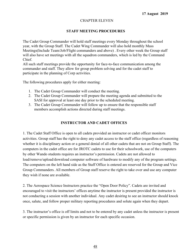## CHAPTER ELEVEN

## **STAFF MEETING PROCEDURES**

The Cadet Group Commander will hold staff meetings every Monday throughout the school year, with the Group Staff. The Cadet Wing Commander will also hold monthly Mass Meetings(Include Team/Job/Flight commanders and above) . Every other week the Group staff will also have set meetings with all the squadron commanders, which is led by the Command Chief.

All such staff meetings provide the opportunity for face-to-face communication among the commander and staff. They allow for group problem solving and for the cadet staff to participate in the planning of Corp activities.

The following procedures apply for either meeting:

- 1. The Cadet Group Commander will conduct the meeting.
- 2. The Cadet Group Commander will prepare the meeting agenda and submitted to the SASI for approval at least one day prior to the scheduled meeting.
- 3. The Cadet Group Commander will follow up to ensure that the responsible staff members accomplish actions directed during staff meetings.

## **INSTRUCTOR AND CADET OFFICES**

1. The Cadet Staff Office is open to all cadets provided an instructor or cadet officer monitors activities. Group staff has the right to deny any cadet access to the staff office (regardless of reasoning whether it is disciplinary action or a general denial of all other cadets that are not on Group Staff). The computers in the cadet office are for JROTC cadets to use for their schoolwork, use of the computers by other Wando students requires an instructor's permission. Cadets are not allowed to load/remove/upload/download computer software of hardware to modify any of the program settings. The computers on the left hand side as the Staff Office is entered are reserved for the Group and Vice Group Commanders. All members of Group staff reserve the right to take over and use any computer they wish if none are available.

2. The Aerospace Science Instructors practice the "Open Door Policy". Cadets are invited and encouraged to visit the instructors' offices anytime the instructor is present provided the instructor is not conducting a session with another individual. Any cadet desiring to see an instructor should knock once, salute, and follow proper military reporting procedures and solute again when they depart.

3. The instructor's office is off limits and not to be entered by any cadet unless the instructor is present or specific permission is given by an instructor for each specific occasion.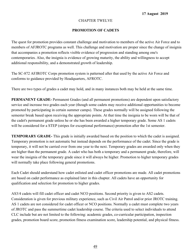## CHAPTER TWELVE

## **PROMOTION OF CADETS**

The quest for promotion provides constant challenge and motivation to members of the active Air Force and to members of AFJROTC programs as well. This challenge and motivation are proper since the change of insignia that accompanies a promotion reflects visible evidence of progression and standing among one's contemporaries. Also, the insignia is evidence of growing maturity, the ability and willingness to accept additional responsibility, and a demonstrated growth of leadership.

The SC-872 AFJROTC Corps promotion system is patterned after that used by the active Air Force and conforms to guidance provided by Headquarters, AFROTC.

There are two types of grades a cadet may hold, and in many instances both may be held at the same time.

**PERMANENT GRADE-** Permanent Grades (and all permanent promotions) are dependent upon satisfactory service and increase two grades each year (though some cadets may receive additional opportunities to become promoted by participating in certain summer camps). These grades normally will be assigned following the semester break based upon receiving the appropriate points. At that time the insignia to be worn will be that of the cadet's permanent grade unless he or she has been awarded a higher temporary grade. Some AS 1 cadets will be considered for a STEP (stripes for exceptional performance) promotion after the 1st semester.

**TEMPORARY GRADE-** This grade is initially awarded based on the position to which the cadet is assigned. Temporary promotion is not automatic but instead depends on the performance of the cadet. Since the grade is temporary, it will not be carried over from one year to the next. Temporary grades are awarded only when they are higher than the permanent grade. A cadet who has both a temporary and a permanent grade, therefore, will wear the insignia of the temporary grade since it will always be higher. Promotion to higher temporary grades will normally take place following general promotions.

Each Cadet should understand how cadet enlisted and cadet officer promotions are made. All cadet promotions are based on cadet performance as explained later in this chapter. All cadets have an opportunity for qualification and selection for promotion to higher grades.

AS3/4 cadets will fill cadet officer and cadet NCO positions. Second priority is given to AS2 cadets. Consideration is given for previous military experience, such as Civil Air Patrol and/or prior JROTC training. AS 1 cadets are not considered for cadet officer or NCO positions. Normally a cadet must complete two years of JROTC and pass the summertime cadet leadership course. The criteria used to select individuals to attend CLC include but are not limited to the following: academic grades, co-curricular participation, inspection grades, promotion board score, promotion fitness examination score, leadership potential, and physical fitness.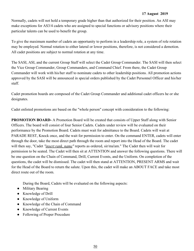Normally, cadets will not hold a temporary grade higher than that authorized for their position. An ASI may make exceptions for AS3/4 cadets who are assigned to special functions or advisory positions where their particular talents can be used to benefit the group.

To give the maximum number of cadets an opportunity to perform in a leadership role, a system of role rotation may be employed. Normal rotation to either lateral or lower positions, therefore, is not considered a demotion. All cadet positions are subject to normal rotation at any time.

The SASI, ASI, and the current Group Staff will select the Cadet Group Commander. The SASI will then select the Vice Group Commander, Group Commanders, and Command Chief. From there, the Cadet Group Commander will work with his/her staff to nominate cadets to other leadership positions. All promotion actions approved by the SASI will be announced in special orders published by the Cadet Personnel Officer and his/her staff.

Cadet promotion boards are composed of the Cadet Group Commander and additional cadet officers he or she designates.

Cadet enlisted promotions are based on the "whole person" concept with consideration to the following:

**PROMOTION BOARD-** A Promotion Board will be created that consists of Upper Staff along with Senior Officers. The board will consist of four Senior Cadets. Cadets under review will be evaluated on their performance by the Promotion Board. Cadets must wait for admittance to the Board. Cadets will wait at PARADE REST, Knock once, and the wait for permission to enter. On the command ENTER, cadets will enter through the door, take the most direct path through the room and report into the Head of the Board. The cadet will then say, "Cadet *"insert rank. name"* reports as ordered, sir/ma'am." The Cadet then will wait for permission to be seated. The Cadet will then sit at ATTENTION and answer the following questions. There will be one question on the Chain of Command, Drill, Current Events, and the Uniform. On completion of the questions, the cadet will be dismissed. The cadet will then stand at ATTENTION, PRESENT ARMS and wait for the Head of the Board to return the salute. Upon this, the cadet will make an ABOUT FACE and take most direct route out of the room.

During the Board, Cadets will be evaluated on the following aspects:

- Military Bearing
- Knowledge of Drill
- Knowledge of Uniform
- Knowledge of the Chain of Command
- Knowledge of Current Events
- Following of Proper Procedure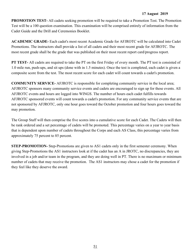**PROMOTION TEST-** All cadets seeking promotion will be required to take a Promotion Test. The Promotion Test will be a 100 question examination. This examination will be comprised entirely of information from the Cadet Guide and the Drill and Ceremonies Booklet.

**ACADEMIC GRADE-** Each cadet's most recent Academic Grade for AFJROTC will be calculated into Cadet Promotions. The instructors shall provide a list of all cadets and their most recent grade for AFJROTC. The most recent grade shall be the grade that was published on their most recent report card/progress report.

**PT TEST-** All cadets are required to take the PT on the first Friday of every month. The PT test is consisted of 1.0 mile run, push-ups, and sit ups (done with in 1.5 minutes). Once the test is completed, each cadet is given a composite score from the test. The most recent score for each cadet will count towards a cadet's promotion.

**COMMUNITY SERVICE-** AFJROTC is responsible for completing community service in the local area; AFJROTC sponsors many community service events and cadets are encouraged to sign up for these events. All AFJROTC events and hours are logged into WINGS. The number of hours each cadet fulfills towards AFJROTC sponsored events will count towards a cadet's promotion. For any community service events that are not sponsored by AFJROTC, only one hour goes toward the October promotion and four hours goes toward the may promotion.

The Group Staff will then comprise the five scores into a cumulative score for each Cadet. The Cadets will then be rank ordered and a set percentage of cadets will be promoted. This percentage varies on a year to year basis that is dependent upon number of cadets throughout the Corps and each AS Class, this percentage varies from approximately 75 percent to 85 percent.

**STEP-PROMOTION-** Step-Promotions are given to AS1 cadets only in the first semester ceremony. When giving Step-Promotions the AS1 instructors look at if the cadet has an A in JROTC, no discrepancies, they are involved in a job and/or team in the program, and they are doing well in PT. There is no maximum or minimum number of cadets that may receive the promotion. The AS1 instructors may chose a cadet for the promotion if they feel like they deserve the award.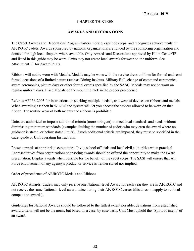## CHAPTER THIRTEEN

## **AWARDS AND DECORATIONS**

The Cadet Awards and Decorations Program fosters morale, esprit de corps, and recognizes achievements of AFJROTC cadets. Awards sponsored by national organizations are funded by the sponsoring organization and donated through local chapters where available. Only Awards and Decorations approved by Holm Center/JR and listed in this guide may be worn. Units may not create local awards for wear on the uniform. See Attachment 11 for Award POCs.

Ribbons will not be worn with Medals. Medals may be worn with the service dress uniform for formal and semi formal occasions of a limited nature (such as Dining ins/outs, Military Ball, change of command ceremonies, award ceremonies, picture days or other formal events specified by the SASI). Medals may not be worn on regular uniform days. Place Medals on the mounting rack in the proper precedence.

Refer to AFI 36-2903 for instructions on stacking multiple medals, and wear of devices on ribbons and medals. When awarding a ribbon in WINGS the system will let you choose the devices allowed to be worn on that ribbon. The routine wear of both medals and ribbons is prohibited.

Units are authorized to impose additional criteria (more stringent) to meet local standards and needs without diminishing minimum standards (example: limiting the number of cadets who may earn the award where no guidance is stated, or below stated limits). If such additional criteria are imposed, they must be specified in the cadet guide or Unit operating Instructions.

Present awards at appropriate ceremonies. Invite school officials and local civil authorities when practical. Representatives from organizations sponsoring awards should be offered the opportunity to make the award presentation. Display awards when possible for the benefit of the cadet corps. The SASI will ensure that Air Force endorsement of any agency's product or service is neither stated nor implied.

Order of precedence of AFJROTC Medals and Ribbons

AFJROTC Awards. Cadets may only receive one National-level Award for each year they are in AFJROTC and not receive the same National- level award twice during their AFJROTC career (this does not apply to national competition awards).

Guidelines for National Awards should be followed to the fullest extent possible; deviations from established award criteria will not be the norm, but based on a case, by case basis. Unit Must uphold the "Spirit of intent" of an award.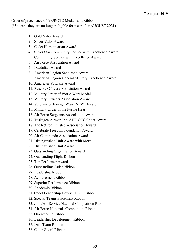Order of precedence of AFJROTC Medals and Ribbons

(\*\* means they are no longer eligible for wear after AUGUST 2021)

- 1. Gold Valor Award
- 2. Silver Valor Award
- 3. Cadet Humanitarian Award
- 4. Silver Star Community Service with Excellence Award
- 5. Community Service with Excellence Award
- 6. Air Force Association Award
- 7. Daedalian Award
- 8. American Legion Scholastic Award
- 9. American Legion General MIlitary Excellence Award
- 10. American Veterans Award
- 11. Reserve Officers Association Award
- 12. Military Order of World Wars Medal
- 13. Military Officers Association Award
- 14. Veterans of Foreign Wars (VFW) Award
- 15. Military Order of the Purple Heart
- 16. Air Force Sergeants Association Award
- 17. Tuskegee Airman Inc. AFJROTC Cadet Award
- 18. The Retired Enlisted Association Award
- 19. Celebrate Freedom Foundation Award
- 20. Air Commando Association Award
- 21. Distinguished Unit Award with Merit
- 22. Distinguished Unit Award
- 23. Outstanding Organization Award
- 24. Outstanding Flight Ribbon
- 25. Top Performer Award
- 26. Outstanding Cadet Ribbon
- 27. Leadership Ribbon
- 28. Achievement Ribbon
- 29. Superior Performance Ribbon
- 30. Academic Ribbon
- 31. Cadet Leadership Course (CLC) Ribbon
- 32. Special Teams Placement Ribbon
- 33. Joint/All-Service National Competition Ribbon
- 34. Air Force Nationals Competition Ribbon
- 35. Orienteering Ribbon
- 36. Leadership Development Ribbon
- 37. Drill Team Ribbon
- 38. Color Guard Ribbon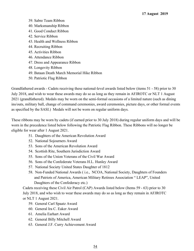- 39. Sabre Team Ribbon
- 40. Marksmanship Ribbon
- 41. Good Conduct Ribbon
- 42. Service Ribbon
- 43. Health and Wellness Ribbon
- 44. Recruiting Ribbon
- 45. Activities Ribbon
- 46. Attendance Ribbon
- 47. Dress and Appearance Ribbon
- 48. Longevity Ribbon
- 49. Bataan Death March Memorial Hike Ribbon
- 50. Patriotic Flag Ribbon

Grandfathered awards - Cadets receiving these national-level awards listed below (items 51 - 58) prior to 30 July 2018, and wish to wear these awards may do so as long as they remain in AFJROTC or NLT 1 August 2021 (grandfathered). Medals may be worn on the semi-formal occasions of a limited nature (such as dining ins/outs, military ball, change of command ceremonies, award ceremonies, picture days, or other formal events as specified by the SASI.) Medals will not be worn on regular uniform days.

These ribbons may be worn by cadets (if earned prior to 30 July 2018) during regular uniform days and will be worn in the precedence listed below following the Patriotic Flag Ribbon. These Ribbons will no longer be eligible for wear after 1 August 2021.

- 51. Daughters of the American Revolution Award
- 52. National Sojourners Award
- 53. Sons of the American Revolution Award
- 54. Scottish Rite, Southern Jurisdiction Award
- 55. Sons of the Union Veterans of the Civil War Award
- 56. Sons of the Confederate Veterans H.L. Hunley Award
- 57. National Society United States Daughter of 1812
- 58. Non-Funded National Awards ( i.e., NCOA, National Society, Daughters of Founders and Patriots of America, American Military Retirees Association " LEAP", United Daughters of the Confederacy etc.)

Cadets receiving these Civil Air Patrol (CAP) Awards listed below (Items 59 - 63) prior to 30 July 2018, and who wish to wear these awards may do so as long as they remain in AFJROTC or NLT 1 August 2021.

- 59. General Carl Spaatz Award
- 60. General Ira C. Eaker Award
- 61. Amelia Earhart Award
- 62. General Billy Mitchell Award
- 63. General J.F. Curry Achievement Award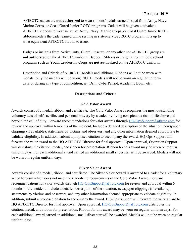AFJROTC cadets are **not authorized** to wear ribbons/medals earned/issued from Army, Navy, Marine Corps, or Coast Guard Junior ROTC programs. Cadets will be given equivalent AFJROTC ribbons to wear in lieu of Army, Navy, Marine Corps, or Coast Guard Junior ROTC ribbons/medals the cadet earned while serving in sister-service JROTC program. It is up to what equivalent AFJROTC ribbon to issue.

Badges or insignia from Active Duty, Guard, Reserve, or any other non-AFJROTC group are **not authorized** on the AFJROTC uniform. Badges, Ribbons or insignia from middle school programs such as Youth Leadership Corps are **not authorized** on the AFJROTC Uniform.

Description and Criteria of AFJROTC Medals and Ribbons. Ribbons will not be worn with medals (only the medals will be worn) NOTE: medals will not be worn on regular uniform days or during any type of competition, ie., Drill, CyberPatriot, Academic Bowl, etc.

#### **Descriptions and Criteria**

## **Gold Valor Award**

Awards consist of a medal, ribbon, and certificate. The Gold Valor Award recognizes the most outstanding voluntary acts of self-sacrifice and personal bravery by a cadet involving conspicuous risk of life above and beyond the call of duty. Forward recommendations for valor awards through [HQ-OpsSupport@afjrotc.com](mailto:HQ-OpsSupport@afjrotc.com) for review and approval within 6 months of the incident. Include a detailed description of the situation, newspaper clippings (if available), statements by victims and observers, and any other information deemed appropriate to validate eligibility. In addition, submit a proposed citation to accompany the award. HQ-Ops Support will forward the valor award to the HQ AFJROTC Director for final approval. Upon approval, Operation Support will distribute the citation, medal, and ribbon for presentation. Ribbon for this award may be worn on regular uniform days. For each additional award earned an additional small silver star will be awarded. Medals will not be worn on regular uniform days.

#### **Silver Valor Award**

Awards consist of a medal, ribbon, and certificate. The Silver Valor Award is awarded to a cadet for a voluntary act of heroism which does not meet the risk-of-life requirements of the Gold Valor Award. Forward recommendations for valor awards through [HQ-OpsSupport@afjrotc.com](mailto:HQ-OpsSupport@afjrotc.com) for review and approval within 6 months of the incident. Include a detailed description of the situation, newspaper clippings (if available), statements by victims and observers, and any other information deemed appropriate to validate eligibility. In addition, submit a proposed citation to accompany the award. HQ-Ops Support will forward the valor award to HQ AFJROTC Director for final approval. Upon approval, HQ-OpsSupport@afirotc.com distributes the citation, medal, and ribbon for presentation. Ribbon for this award may be worn on regular uniform days. For each additional award earned an additional small silver star will be awarded. Medals will not be worn on regular uniform days.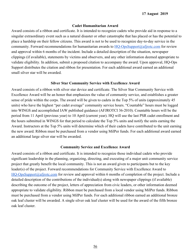#### **Cadet Humanitarian Award**

Award consists of a ribbon and certificate. It is intended to recognize cadets who provide aid in response to a singular extraordinary event such as a natural disaster or other catastrophe that has placed or has the potential to place a hardship on their fellow citizens. This award is not to be used to recognize day-to-day service in the community. Forward recommendations for humanitarian awards to  $HO$ -OpsSupport@afjrotc.com for review and approval within 6 months of the incident. Include a detailed description of the situation, newspaper clippings (if available), statements by victims and observers, and any other information deemed appropriate to validate eligibility. In addition, submit a proposed citation to accompany the award. Upon approval, HQ-Ops Support distributes the citation and ribbon for presentation. For each additional award earned an additional small silver star will be awarded.

#### **Silver Star Community Service with Excellence Award**

Award consists of a ribbon with silver star device and certificate. The Silver Star Community Service with Excellence Award will be an honor that emphasizes the value of community service, and establishes a greater sense of pride within the corps. The award will be given to cadets in the Top 5% of units (approximately 45 units) who have the highest "per cadet average" community service hours. "Countable" hours must be logged into WINGS and accomplished IAW published guidance (AFJROTCI 36-2010). Countable hours will be the period from 11 April (previous year) to 10 April (current year). HQ will use the last PSR cadet enrollment and the hours submitted in WINGS for that period to calculate the Top 5% units and notify the units earning the Award. Instructors at the Top 5% units will determine which of their cadets have contributed to the unit earning the new award. Ribbon must be purchased from a vendor using MilPer funds. For each additional award earned an additional large silver star will be awarded.

#### **Community Service and Excellence Award**

Award consists of a ribbon and certificate. It is intended to recognize those individual cadets who provide significant leadership in the planning, organizing, directing, and executing of a major unit community service project that greatly benefit the local community. This is not an award given to participants but to the key leader(s) of the project. Forward recommendations for Community Service with Excellence Award to [HQ-OpsSupport@afjrotc.com](mailto:HQ-OpsSupport@afjrotc.com) for review and approval within 6 months of completion of the project. Include a detailed description of the contributions of the individual(s) along with newspaper clippings (if available) describing the outcome of the project, letters of appreciation from civic leaders, or other information deemed appropriate to validate eligibility. Ribbon must be purchased from a local vendor using MilPer funds. Ribbon must be purchased from a vendor using MilPer funds. For each additional ribbon earned an additional bronze oak leaf cluster will be awarded. A single silver oak leaf cluster will be used for the award of the fifth bronze oak leaf cluster.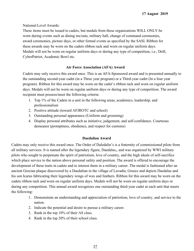National-Level Awards:

These items must be issued to cadets, but medals from these organizations WILL ONLY be worn during events such as dining ins/outs, military ball, change of command ceremonies, award ceremonies, picture days, or other formal events as specified by the SASI. Ribbon for these awards may be worn on the cadets ribbon rack and worn on regular uniform days. Medals will not be worn on regular uniform days or during any type of competition, i.e., Drill, CyberPatriot, Academic Bowl etc.

## **Air Force Association (AFA) Award**

Cadets may only receive this award once. This is an AFA-Sponsored award and is presented annually to the outstanding second-year cadet (in a Three year program) or a Third-year cadet (In a four year program). Ribbon for this award may be worn on the cadet's ribbon rack and worn on regular uniform days. Medals will not be worn on regular uniform days or during any type of competition. The award recipient must possess/meet the following criteria:

- 1. Top 1% of the Cadets in a unit in the following areas, academics, leadership, and professionalism
- 2. Positive attitude (toward AFJROTC and school)
- 3. Outstanding personal appearance (Uniform and grooming)
- 4. Display personal attributes such as initiative, judgement, and self-confidence. Courteous demeanor (promptness, obedience, and respect for customs)

## **Daedalian Award**

Cadets may only receive this award once. The Order of Daledalin's is a fraternity of commissioned pilots from all military services. It is named after the legendary figure, Daedalus,, and was organized by WWI military pilots who sought to perpetuate the spirit of patriotism, love of country, and the high ideals of self-sacrifice which place service to the nation above personal safety and position. The award is offered to encourage the development of these traits in cadets and to interest them in a military career. The medal is fashioned after an ancient Grecian plaque discovered by a Daedalian in the village of Lavadia, Greece and depicts Daedalus and his son Icarus fabricating their legendary wings of wax and feathers. Ribbon for this award may be worn on the cadets ribbon rack and worn on regular uniform days. Medals will not be worn on regular uniform days or during any competition. This annual award recognizes one outstanding third-year cadet at each unit that meets the following:

- 1. Demonstrate an understanding and appreciation of patriotism, love of country, and service to the nation.
- 2. Indicate the potential and desire to pursue a military career.
- 3. Rank in the top 10% of their AS class.
- 4. Rank in the top 20% of their school class.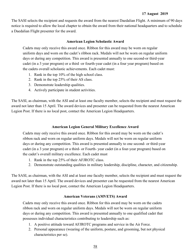The SASI selects the recipient and requests the award from the nearest Daedalian Flight. A minimum of 90 days notice is required to allow the local chapter to obtain the award from their national headquarters and to schedule a Daedalian Flight presenter for the award.

#### **American Legion Scholastic Award**

Cadets may only receive this award once. Ribbon for this award may be worn on regular uniform days and worn on the cadet's ribbon rack. Medals will not be worn on regular uniform days or during any competition. This award is presented annually to one second-or third-year cadet (in a 3 year program) or a third -or fourth-year cadet (in a four year program) based on the cadets overall scholastic achievements. Each cadet must:

- 1. Rank in the top 10% of the high school class.
- 2. Rank in the top 25% of their AS class.
- 3. Demonstrate leadership qualities.
- 4. Actively participate in student activities.

The SASI, as chairman, with the ASI and at least one faculty member, selects the recipient and must request the award not later than 15 April. The award devices and presenter can be requested from the nearest American Legion Post. If there is no local post, contact the American Legion Headquarters.

#### **American Legion General Military Excellence Award**

Cadets may only receive this award once. Ribbon for this award may be worn on the cadet's ribbon rack and worn on regular uniform days. Medals will not be worn on regular uniform days or during any competition. This award is presented annually to one second- or third-year cadet (in a 3 year program) or a third- or Fourth- year cadet (in a four-year program) based on the cadet's overall military excellence. Each cadet must

- 1. Rank in the top 25% of their AFJROTC class.
- 2. Demonstrate outstanding qualities in military leadership, discipline, character, and citizenship.

The SASI, as chairman, with the ASI and at least one faculty member, selects the recipient and must request the award not later than 15 April. The award devices and presenter can be requested from the nearest American Legion Post. If there is no local post, contact the American Legion Headquarters.

#### **American Veterans (AMVETS) Award**

Cadets may only receive this award once. Ribbon for this award may be worn on the cadets ribbon rack and worn on regular uniform days. Medals will not be worn on regular uniform days or during any competition. This award is presented annually to one qualified cadet that possesses individual characteristics contributing to leadership such as:

- 1. A positive attitude toward AFJROTC programs and service in the Air Force.
- 2. Personal appearance (wearing of the uniform, posture, and grooming, but not physical characteristics per se).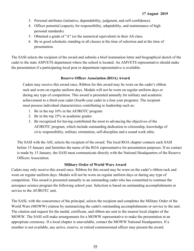- 3. Personal attributes (initiative, dependability, judgment, and self-confidence).
- 4. Officer potential (capacity for responsibility, adaptability, and maintenance of high personal standards).
- 5. Obtained a grade of "A" (or the numerical equivalent) in their AS class.
- 6. Be in good scholastic standing in all classes at the time of selection and at the time of presentation.

The SASI selects the recipient of the award and submits a brief nomination letter and biographical sketch of the cadet to the state AMVETS department where the school is located. An AMVETS representative should make the presentation if a participating local post or department representative is available.

## **Reserve Officer Association (ROA) Award**

Cadets may receive this award once. Ribbon for this award may be worn on the cadet's ribbon rack and worn on regular uniform days. Medals will not be worn on regular uniform days or during any type of competition. This award is presented annually for military and academic achievement to a third-year cadet (fourth-year cadet in a four year program). The recipient must possess individual characteristics contributing to leadership such as:

- 1. Be in the top 10% in the AFJROTC program
- 2. Be in the top 25% in academic grades
- 3. Be recognized for having contributed the most to advancing the objectives of the AFJROTC program, which include outstanding dedication to citizenship, knowledge of civic responsibility, military orientation, self-discipline and a sound work ethic.

The SASI with the ASI, selects the recipient of the award. The local ROA chapter contacts each SASI before 15 January and furnishes the name of the ROA representative for presentation purposes. If no contact is made by 15 January, the SASI must communicate directly with the National Headquarters of the Reserve Officers Association.

## **Military Order of World Wars Award**

Cadets may only receive this award once. Ribbon for this award may be worn on the cadet's ribbon rack and worn on regular uniform days. Medals will not be worn on regular uniform days or during any type of competition. This award is presented annually to an outstanding cadet who has committed to continue the aerospace science program the following school year. Selection is based on outstanding accomplishments or service to the AFJROTC unit.

The SASI, with the concurrence of the principal, selects the recipient and completes the Military Order of the World Wars (MOWW) citation by summarizing the cadet's outstanding accomplishments or service to the unit. The citation and request for the medal, certificate, and ribbon are sent to the nearest local chapter of the MOWW. The SASI will make arrangements for a MOWW representative to make the presentation at an appropriate ceremony. If a local chapter is unavailable, contact the MOWW National Headquarters. If a member is not available, any active, reserve, or retired commissioned officer may present the award.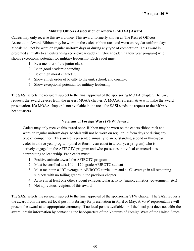## **Military Officers Association of America (MOAA) Award**

Cadets may only receive this award once. This award, formerly known as The Retired Officers Association Award. Ribbon may be worn on the cadets ribbon rack and worn on regular uniform days. Medals will not be worn on regular uniform days or during any type of competition. This award is presented annually to an outstanding second-year cadet (third-year cadet ina four year program) who shows exceptional potential for military leadership. Each cadet must:

- 1. Be a member of the junior class.
- 2. Be in good academic standing.
- 3. Be of high moral character.
- 4. Show a high order of loyalty to the unit, school, and country.
- 5. Show exceptional potential for military leadership.

The SASI selects the recipient subject to the final approval of the sponsoring MOAA chapter. The SASI requests the award devices from the nearest MOAA chapter. A MOAA representative will make the award presentation. If a MOAA chapter is not available in the area, the SASI sends the request to the MOAA headquarters.

## **Veterans of Foreign Wars (VFW) Award**

Cadets may only receive this award once. Ribbon may be worn on the cadets ribbon rack and worn on regular uniform days. Medals will not be worn on regular uniform days or during any type of competition. This award is presented annually to an outstanding second or third-year cadet in a three-year program (third or fourth-year cadet in a four year program) who is actively engaged in the AFJROTC program and who possesses individual characteristics contributing to leadership. Each cadet must:

- 1. Positive attitude toward the AFJROTC program
- 2. Must be enrolled as a 10th 12th grade AFJROTC student
- 3. Must maintain a "B" average in AFJROTC curriculum and a "C" average in all remaining subjects with no failing grades in the previous chapter
- 4. Active in at least one other student extracurricular activity (music, athletics, government, etc.)
- 5. Not a previous recipient of this award

The SASI selects the recipient subject to the final approval of the sponsoring VFW chapter. The SASI requests the award from the nearest local post in February for presentation in April or May. A VFW representative will present the award at an appropriate ceremony. If no local post is available, or if the local post does not offer the award, obtain information by contacting the headquarters of the Veterans of Foreign Wars of the United States.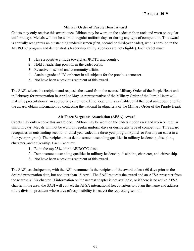## **Military Order of Purple Heart Award**

Cadets may only receive this award once. Ribbon may be worn on the cadets ribbon rack and worn on regular uniform days. Medals will not be worn on regular uniform days or during any type of competition, This award is annually recognizes an outstanding underclassmen (first, second or third-year cadet), who is enrolled in the AFJROTC program and demonstrates leadership ability. (Seniors are not eligible). Each Cadet must:

- 1. Have a positive attitude toward AFJROTC and country.
- 2. Hold a leadership position in the cadet corps.
- 3. Be active in school and community affairs.
- 4. Attain a grade of "B" or better in all subjects for the previous semester.
- 5. Not have been a previous recipient of this award.

The SASI selects the recipient and requests the award from the nearest Military Order of the Purple Heart unit in February for presentation in April or May. A representative of the Military Order of the Purple Heart will make the presentation at an appropriate ceremony. If no local unit is available, or if the local unit does not offer the award, obtain information by contacting the national headquarters of the Military Order of the Purple Heart.

## **Air Force Sergeants Association (AFSA) Award**

Cadets may only receive this award once. Ribbon may be worn on the cadets ribbon rack and worn on regular uniform days. Medals will not be worn on regular uniform days or during any type of competition. This award recognizes an outstanding second- or third-year cadet in a three-year program (third- or fourth-year cadet in a four-year program). The recipient must demonstrate outstanding qualities in military leadership, discipline, character, and citizenship. Each Cadet mu

- 1. Be in the top 25% of the AFJROTC class.
- 2. Demonstrate outstanding qualities in military leadership, discipline, character, and citizenship.
- 3. Not have been a previous recipient of this award.

The SASI, as chairperson, with the ASI, recommends the recipient of the award at least 60 days prior to the desired presentation date, but not later than 15 April. The SASI requests the award and an AFSA presenter from the nearest AFSA chapter. If information on the nearest chapter is not available, or if there is no active AFSA chapter in the area, the SASI will contact the AFSA international headquarters to obtain the name and address of the division president whose area of responsibility is nearest the requesting school.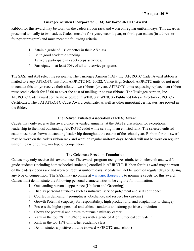## **Tuskegee Airmen Incorporated (TAl) Air Force JROTC Award**

Ribbon for this award may be worn on the cadets ribbon rack and worn on regular uniform days. This award is presented annually to two cadets. Cadets must be first-year, second-year, or third-year cadets (in a three- or four-year program) and must meet the following criteria.

- 1. Attain a grade of "B" or better in their AS class.
- 2. Be in good academic standing.
- 3. Actively participate in cadet corps activities.
- 4. Participate in at least 50% of all unit service programs.

The SASI and ASI select the recipients. The Tuskegee Airmen (TAI), Inc. AFJROTC Cadet Award ribbon is mailed to every AFJROTC unit from AFJROTC NC-20022, Vance High School. AFJROTC units do not need to contact this uni yo receive their allotted two ribbons [er year. AFJROTC units requesting replacement ribbon must send a check for \$2.00 to cover the cost of mailing up to two ribbons. The Tuskegee Airmen, Inc. AFJROTC Cadet award certificate is posted in WINGS at WINGS - Published Files - Directory - JROTC - Certificates. The TAI AFJROTC Cadet Award certificate, as well as other important certificates, are posted in the folder.

## **The Retired Enlisted Association (TREA) Award**

Cadets may only receive this award once. Awarded annually, at the SASI's discretion, for exceptional leadership to the most outstanding AFJROTC cadet while serving in an enlisted rank. The selected enlisted cadet must have shown outstanding leadership throughout the course of the school year. Ribbon for this award may be worn on the cadets ribbon rack and worn on regular uniform days. Medals will not be worn on regular uniform days or during any type of competition.

## **The Celebrate Freedom Foundation**

Cadets may only receive this award once. The awards program recognizes ninth, tenth, eleventh and twelfth grade students (including homeschooled students ) enrolled in AFJROTC. Ribbon for this award may be worn on the cadets ribbon rack and worn on regular uniform days. Medals will not be worn on regular days or during any type of competition. The SASI may go online at [www.gocff.org/jrotc](http://www.gocff.org/jrotc) to nominate cadets for this award. Cadets must demonstrate the following personal characteristics to be eligible for nomination.

- 1. Outstanding personal appearance (Uniform and Grooming)
- 2. Display personal attributes such as initiative, service judgement and self confidence
- 3. Courteous demeanor ( promptness, obedience, and respect for customs)
- 4. Growth Potential (capacity for responsibility, high productivity, and adaptability to change)
- 5. Possess the highest personal and ethical standards and strong positive convictions
- 6. Shows the potential and desire to pursue a military career
- 7. Rank in the top 5% in his/her class with a grade of A or numerical equivalent
- 8. Rank in the top 15% of his./her academic class
- 9. Demonstrates a positive attitude (toward AFJROTC and school)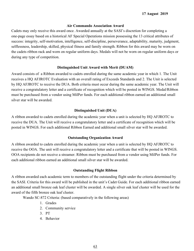## **Air Commando Association Award**

Cadets may only receive this award once. Awarded annually at the SASI's discretion for completing a one-page essay based on a historical AF Special Operations mission possessing the 13 critical attributes of success: integrity, self-motivation, intelligence, self-discipline, perseverance, adaptability, maturity, judgment, selflessness, leadership, skilled, physical fitness and family strength. Ribbon for this award may be worn on the cadets ribbon rack and worn on regular uniform days. Medals will not be worn on regular uniform days or during any type of competition.

#### **Distinguished Unit Award with Merit (DUAM)**

Award consists of a Ribbon awarded to cadets enrolled during the same academic year in which 1. The Unit receives a HQ AFJROTC Evaluation with an overall rating of Exceeds Standards and 2. The Unit is selected by HQ AFJROTC to receive the DUA. Both criteria must occur during the same academic year. The Unit will receive a congratulatory letter and a certificate of recognition which will be posted in WINGS. Medal/Ribbon must be purchased from a vendor using MilPer funds. For each additional ribbon earned an additional small silver star will be awarded.

## **Distinguished Unit (DUA)**

A ribbon awarded to cadets enrolled during the academic year when a unit is selected by HQ AFJROTC to receive the DUA. The Unit will receive a congratulatory letter and a certificate of recognition which will be posted in WINGS. For each additional Ribbon Earned and additional small silver star will be awarded.

### **Outstanding Organization Award**

A ribbon awarded to cadets enrolled during the academic year when a unit is selected by HQ AFJROTC to receive the OOA. The unit will receive a congratulatory letter and a certificate that will be posted in WINGS. OOA recipients do not receive a streamer. Ribbon must be purchased from a vendor using MilPer funds. For each additional ribbon earned an additional small silver star will be awarded.

#### **Outstanding Flight Ribbon**

A ribbon awarded each academic term to members of the outstanding flight under the criteria determined by the SASI. Criteria for this award will be published in the unit's Cadet Guide. For each additional ribbon earned an additional small bronze oak leaf cluster will be awarded. A single silver oak leaf cluster will be used for the award of the fifth bronze oak leaf cluster.

Wando SC-872 Criteria: (based comparatively in the following areas)

- 1. Grades
- 2. Community service
- 3. PT
- 4. Behavior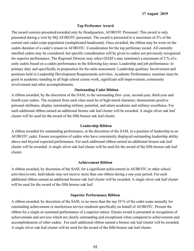### **Top Performer Award**

The award consists presented/awarded only by Headquarters, AFJROTC Personnel. This award is only presented during a visit by HQ AFJROTC personnel. The award is presented to a maximum of 2% of the current unit cadet corps population (unduplicated headcount). Once awarded, the ribbon may be worn on the cadets duration of a cadet's tenure in AFJROTC. Consideration for the top performer award. All currently enrolled cadets may be considered, but specific consideration will be given to cadets not previously recognized for superior performance. The Regional Director may select (SASI's may nominate) a maximum of 2 % of a units cadets based on a cadets performance in the following key areas: Leadership and job performance: in primary duty and specifically in preparation for the units assessment. Leadership qualities: Involvement and positions held in Leadership Development Requirements activities. Academic Performance: nominee must be good in academic standing in all high school course work, significant self-improvement, community involvement and other accomplishments.

## **Outstanding Cadet Ribbon**

A ribbon awarded, by the discretion of the SASI, to the outstanding first -year, second-year, third-year and fourth-year cadets. The recipient from each class must be of high moral character, demonstrate positive personal attributes, display outstanding military potential, and attain academic and military excellence. For each additional ribbon earned an additional bronze oak leaf cluster will be awarded. A single silver oak leaf cluster will be used for the award of the fifth bronze oak leaf cluster.

#### **Leadership Ribbon**

A ribbon awarded for outstanding performance, at the discretion of the SASI, in a position of leadership as an AFJROTC cadet. Ensure recognition of cadets who have consistently displayed outstanding leadership ability above and beyond expected performance. For each additional ribbon earned an additional bronze oak leaf cluster will be awarded. A single silver oak leaf cluster will be used for the award of the fifth bronze oak leaf cluster.

#### **Achievement Ribbon**

A ribbon awarded, by discretion of the SASI, for a significant achievement in AFJROTC or other school activities/events. Individuals may not receive more than one ribbon during a one-year period. For each additional ribbon earned an additional bronze oak leaf cluster will be awarded. A single silver oak leaf cluster will be used for the award of the fifth bronze oak leaf

## **Superior Performance Ribbon**

A ribbon awarded, by discretion of the SASI, to no more than the top 10 % of the cadet corps annually for outstanding achievement or meritorious service rendered specifically on behalf of AFJROTC. Present the ribbon for a single or sustained performance of a superior nature. Ensure award is presented in recognition of achievements and services which are clearly outstanding and exceptional when compared to achievements and accomplishments of other cadets. For each additional ribbon earned a bronze oak leaf cluster will be awarded. A single silver oak leaf cluster will be used for the award of the fifth bronze oak leaf cluster.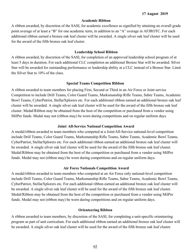#### **Academic Ribbon**

A ribbon awarded, by discretion of the SASI, for academic excellence as signified by attaining an overall grade point average of at least a "B" for one academic term, in addition to an "A" average in AFJROTC. For each additional ribbon earned a bronze oak leaf cluster will be awarded. A single silver oak leaf cluster will be used for the award of the fifth bronze oak leaf cluster.

#### **Leadership School Ribbon**

A ribbon awarded, by discretion of the SASI, for completion of an approved leadership school program of at least 5 days in duration. For each additional CLC completion an additional Bronze Star will be awarded. Silver Star will be awarded for outstanding performance or leadership ability at a CLC instead of a Bronze Star. Limit the Silver Star to 10% of the class.

#### **Special Teams Competition Ribbon**

A ribbon awarded to team members for placing First, Second or Third in an Air Force or Joint service Competition to include Drill Teams, Color Guard Teams, Marksmanship Rifle Teams, Sabre Teams, Academic Bowl Teams, CyberPatriot, StellarXplorers etc. For each additional ribbon earned an additional bronze oak leaf cluster will be awarded. A single silver oak leaf cluster will be used for the award of the fifth bronze oak leaf cluster. Medal/Ribbon may be obtained from the host of the competition or purchased from a vendor using MilPer funds. Medal may not (ribbon may) be worn during competitions and on regular uniform days.

#### **Joint/ All-Service National Competition Award**

A medal/ribbon awarded to team members who competed at a Joint/All-Service national-level competition include Drill Teams, Color Guard Teams, Marksmanship Rifle Teams, Sabre Teams, Academic Bowl Teams, CyberPatriot, StellarXplorers etc. For each additional ribbon earned an additional bronze oak leaf cluster will be awarded. A single silver oak leaf cluster will be used for the award of the fifth bronze oak leaf cluster. Medal/Ribbon may be obtained from the host of the competition or purchased from a vendor using MilPer funds. Medal may not (ribbon may) be worn during competitions and on regular uniform days.

#### **Air Force Nationals Competition Award**

A medal/ribbon awarded to team members who competed at an Air Force only national-level competition include Drill Teams, Color Guard Teams, Marksmanship Rifle Teams, Sabre Teams, Academic Bowl Teams, CyberPatriot, StellarXplorers etc. For each additional ribbon earned an additional bronze oak leaf cluster will be awarded. A single silver oak leaf cluster will be used for the award of the fifth bronze oak leaf cluster. Medal/Ribbon may be obtained from the host of the competition or purchased from a vendor using MilPer funds. Medal may not (ribbon may) be worn during competitions and on regular uniform days.

#### **Orienteering Ribbon**

A ribbon awarded to team members, by discretion of the SASI, for completing a unit-specific orienteering program as part of unit curriculum. For each additional ribbon earned an additional bronze oak leaf cluster will be awarded. A single silver oak leaf cluster will be used for the award of the fifth bronze oak leaf cluster.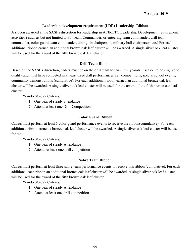## **Leadership development requirement (LDR) Leadership Ribbon**

A ribbon awarded at the SASI's discretion for leadership in AFJROTC Leadership Development requirement activities ( such as but not limited to PT Team Commander, orienteering team commander, drill team commander, color guard team commander, dining- in chairperson, military ball chairperson etc.) For each additional ribbon earned an additional bronze oak leaf cluster will be awarded. A single silver oak leaf cluster will be used for the award of the fifth bronze oak leaf cluster.

### **Drill Team Ribbon**

Based on the SASI's discretion, cadets must be on the drill team for an entire year/drill season to be eligible to qualify and must have competed in at least three drill performances i.e., competitions, special school events, community demonstrations (cumulative). For each additional ribbon earned an additional bronze oak leaf cluster will be awarded. A single silver oak leaf cluster will be used for the award of the fifth bronze oak leaf cluster.

Wando SC-872 Criteria:

- 1. One year of steady attendance
- 2. Attend at least one Drill Competition

## **Color Guard Ribbon**

Cadets must perform at least 5 color guard performance events to receive the ribbon(cumulative). For each additional ribbon earned a bronze oak leaf cluster will be awarded. A single silver oak leaf cluster will be used for the

Wando SC-872 Criteria:

- 1. One year of steady Attendance
- 2. Attend At least one drill competition

#### **Sabre Team Ribbon**

Cadets must perform at least three sabre team performance events to receive this ribbon (cumulative). For each additional each ribbon an additional bronze oak leaf cluster will be awarded. A single silver oak leaf cluster will be used for the award of the fifth bronze oak leaf cluster.

Wando SC-872 Criteria:

- 1. One year of steady Attendance
- 2. Attend at least one drill competition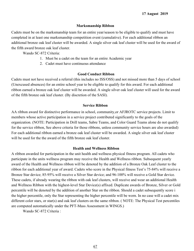## **Marksmanship Ribbon**

Cadets must be on the marksmanship team for an entire year/season to be eligible to qualify and must have completed in at least one marksmanship competition event (cumulative). For each additional ribbon an additional bronze oak leaf cluster will be awarded. A single silver oak leaf cluster will be used for the award of the fifth award bronze oak leaf cluster.

Wando SC-872 Criteria:

- 1. Must be a cadet on the team for an entire Academic year
- 2. Cadet must have continuous attendance

## **Good Conduct Ribbon**

Cadets must not have received a referral (this includes no ISS/OSS) and not missed more than 5 days of school (Unexcused absences) for an entire school year to be eligible to qualify for this award. For each additional ribbon earned a bronze oak leaf cluster will be awarded. A single silver oak leaf cluster will used for the award of the fifth bronze oak leaf cluster. (By discretion of the SASI).

#### **Service Ribbon**

AA ribbon award for distinctive performance in school, community,or AFJROTC service projects. Limit to members whose active participation in a service project contributed significantly to the goals of the organization. (NOTE: Participation in Drill teams, Sabre Teams, and Color Guard Teams alone do not qualify for the service ribbon, See above criteria for those ribbons, unless community service hours are also awarded) For each additional ribbon earned a bronze oak leaf cluster will be awarded. A single silver oak leaf cluster will be used for the the award of the fifth bronze oak leaf cluster.

#### **Health and Wellness Ribbon**

A ribbon awarded for participation in the unit health and wellness physical fitness program. All cadets who participate in the units wellness program may receive the Health and Wellness ribbon. Subsequent yearly award of the Health and Wellness ribbon will be denoted by the addition of a Bronze Oak Leaf cluster to the ribbon for each additional year of award. Cadets who score in the Physical fitness Test's 75-84% will receive a Bronze Star device; 85-95% will receive a Silver Star device; and 96-100% will receive a Gold Star device. These cadets, if already wearing the ribbon with oak leaf clusters, will receive and wear an additional Health and Wellness Ribbon with the highest-level Star Device(s) affixed. Duplicate awards of Bronze, Silver or Gold percentile will be denoted by the addition of another Star on the ribbon. Should a cadet subsequently score i the higher percentile, only the Star representing the higher percentile will be worn. In no case will a cadet mix different color stars, or star(s) and oak leaf clusters on the same ribbon. (NOTE: The Physical Test percentiles are computed automatically under the PFT-Mass Assessment in WINGS.)

Wando SC-872 Criteria :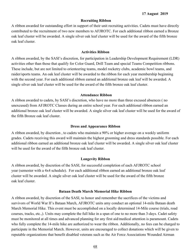#### **Recruiting Ribbon**

A ribbon awarded for outstanding effort in support of their unit recruiting activities. Cadets must have directly contributed to the recruitment of two new members to AFJROTC. For each additional ribbon earned a Bronze oak leaf cluster will be awarded. A single silver oak leaf cluster will be used for the award of the fifth bronze oak leaf cluster.

#### **Activities Ribbon**

A ribbon awarded, by the SASI's discretion, for participation in Leadership Development Requirement (LDR) activities other than those that qualify for Color Guard, Drill Team and special Teams Competition ribbons. These include, but are not limited to orienteering teams, model rocketry clubs, academic bowl teams, and raider/sports teams. An oak leaf cluster will be awarded to the ribbon for each year membership beginning with the second year. For each additional ribbon earned an additional bronze oak leaf will be awarded. A single silver oak leaf cluster will be used for the award of the fifth bronze oak leaf cluster.

#### **Attendance Ribbon**

A ribbon awarded to cadets, by SASI's discretion, who have no more than three excused absences ( no unexcused) from AFJROTC Classes during an entire school year. For each additional ribbon earned an additional bronze oak leaf cluster will be awarded. A single silver oak leaf cluster will be used for the award of the fifth Bronze oak leaf cluster.

#### **Dress and Appearance Ribbon**

A ribbon awarded, by discretion , to cadets who maintain a 90% or higher average on a weekly uniform grades. Cadets receiving this award will maintain the highest grooming and dress standards possible. For each additional ribbon earned an additional bronze oak leaf cluster will be awarded. A single silver oak leaf cluster will be used for the award of the fifth bronze oak leaf cluster.

#### **Longevity Ribbon**

A ribbon awarded, by discretion of the SASI, for successful completion of each AFJROTC school year (semester with a 4x4 schedule). For each additional ribbon earned an additional bronze oak leaf cluster will be awarded. A single silver oak leaf cluster will be used for the award of the fifth bronze oak leaf cluster.

#### **Bataan Death March Memorial Hike Ribbon**

A ribbon awarded, by discretion of the SASI, to honor and remember the sacrifices of the victims and survivors of World War II's Bataan March, AFJROTC units amy conduct an optional 14-mile Bataan death March Memorial Hike. This event must be accomplished on a locally determined 14-Mile course (trials, road courses, tracks, etc.,). Units may complete the full hike in a span of one to no more than 3-days. Cadet safety must be monitored at all times and advanced planning for any first aid/medical attention is paramount. Cadets who fully complete the 14-mile hike are authorized to wear the ribbon. Additionally, no fees can be charged to participate in the Memorial March. However, units are encouraged to collect donations which will be given to reputable organizations that benefit disabled veterans such as the Air Force Associations Wounded Airman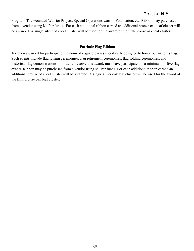Program, The wounded Warrior Project, Special Operations warrior Foundation, etc. Ribbon may purchased from a vendor using MilPer funds. For each additional ribbon earned an additional bronze oak leaf cluster will be awarded. A single silver oak leaf cluster will be used for the award of the fifth bronze oak leaf cluster.

#### **Patriotic Flag Ribbon**

A ribbon awarded for participation in non-color guard events specifically designed to honor our nation's flag. Such events include flag raising ceremonies, flag retirement ceremonies, flag folding ceremonies, and historical flag demonstrations. In order to receive this award, must have participated in a minimum of five flag events. Ribbon may be purchased from a vendor using MilPer funds. For each additional ribbon earned an additional bronze oak leaf cluster will be awarded. A single silver oak leaf cluster will be used for the award of the fifth bronze oak leaf cluster.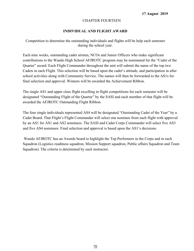## CHAPTER FOURTEEN

## **INDIVIDUAL AND FLIGHT AWARD**

Competition to determine the outstanding individuals and flights will be help each semester during the school year.

Each nine weeks, outstanding cadet airmen, NCOs and Junior Officers who make significant contributions to the Wando High School AFJROTC program may be nominated for the "Cadet of the Quarter" award. Each Flight Commander throughout the unit will submit the name of the top two Cadets in each Flight. This selection will be based upon the cadet's attitude, and participation in after school activities along with Community Service. The names will then be forwarded to the AS1s for final selection and approval. Winners will be awarded the Achievement Ribbon.

The single AS1 and upper class flight excelling in flight competitions for each semester will be designated "Outstanding Flight of the Quarter" by the SASI and each member of that flight will be awarded the AFJROTC Outstanding Flight Ribbon.

The four single individuals represented AS4 will be designated "Outstanding Cadet of the Year" by a Cadet Board. That Flight's Flight Commander will select one nominee from each flight with approval by an AS1 for AS1 and AS2 nominees. The SASI and Cadet Corps Commander will select five AS3 and five AS4 nominees. Final selection and approval is based upon the AS1's decisions.

 Wando AFJROTC has an Awards board to highlight the Top Performers in the Corps and in each Squadron (Logistics readiness squadron, Mission Support squadron, Public affairs Squadron and Team Squadron). The criteria is determined by each instructor.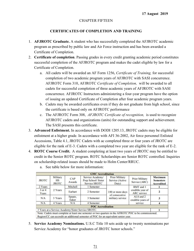## CHAPTER FIFTEEN

## **CERTIFICATES OF COMPLETION AND TRAINING**

- 1. **AFJROTC Graduate.** A student who has successfully completed the AFJROTC academic program as prescribed by public law and Air Force instruction and has been awarded a Certificate of Completion.
- 2. **Certificate of completion**. Passing grades in every credit granting academic period constitutes successful completion of the AFJROTC program and makes the cadet eligible by law for a Certificate of Completion.
	- a. All cadets will be awarded an AF Form 1256, *Certificate of Training,* for successful completion of two academic program years of AFJROTC with SASI concurrence. AFJROTC Form 310, AFJROTC *Certificate of Completion,* will be awarded to all cadets for successful completion of three academic years of AFJROTC with SASI concurrence. AFJROTC Instructors administering a four-year program have the option of issuing an updated Certificate of Completion after four academic program years.
	- b. Cadets may be awarded certificates even if they do not graduate from high school, since the certificate is based only on AFJROTC performance
	- c. The AFJROTC Form 308, *AFJROTC Certificate of recognition,* is used to recognize AFJROTC cadets and organizations (units) for outstanding support and achievement. The SASI presents this certificate.
- 3. **Advanced Enlistment.** In accordance with DODI 1205.13, JROTC cadets may be eligible for enlistment at a higher grade. In accordance with AFI 36-2002, Air force personnel Enlisted Accessions, Table 4.1, JROTC Cadets with ac completed three or four years of JROTC are eligible for the rank of E-3. Cadets with a completed two year are eligible for the rank of E-2.
- 4. **ROTC Course Credit.** A student completing at least two years of JROTC may be entitled to credit in the Senior ROTC program. ROTC Scholarships are Senior ROTC controlled. Inquiries on scholarship-related issues should be made to Holm Center/RRUC.

|                     |                                       |                                                 | <b>GMC</b> Accreditation                                                                                                                                                                     |                                                   |                                        |                                                         |
|---------------------|---------------------------------------|-------------------------------------------------|----------------------------------------------------------------------------------------------------------------------------------------------------------------------------------------------|---------------------------------------------------|----------------------------------------|---------------------------------------------------------|
| <b>JROTC</b>        | Military<br><b>HS</b><br><b>JROTC</b> | CAP<br>Awards                                   | Service Academy/<br>Prep School/ Sister<br>Service SROTC                                                                                                                                     | <b>Prior Military</b><br>Service (Active<br>Duty) | <b>Prior Military</b><br>Service (ARC) | <b>Maximum</b><br><b>Semesters</b><br><b>Accredited</b> |
| 2 Years             |                                       | Mitchell<br>1 Semester<br>Earhart<br>2 Semester |                                                                                                                                                                                              |                                                   | <b>BMT</b> and 1                       |                                                         |
| $3$ or $4$<br>Years | 2 Years                               |                                                 |                                                                                                                                                                                              |                                                   | 180 or more days<br>of consecutive     | credible year of<br><b>ARC</b> service                  |
| N/A                 | 3 Years                               | Spaatz,<br>Eaker                                | 3 Semester                                                                                                                                                                                   | military service                                  | ALS and 2<br>credible years of         |                                                         |
| N/A                 | 4 Years                               | N/A                                             | 4 Semester                                                                                                                                                                                   |                                                   | service                                |                                                         |
|                     |                                       |                                                 | <b>POC</b> Accreditation                                                                                                                                                                     |                                                   |                                        |                                                         |
|                     |                                       |                                                 | 3 Years at a Service Academy/Sister Service SROTC.                                                                                                                                           |                                                   |                                        |                                                         |
|                     |                                       |                                                 | Note: Cadets must complete at least one semester or two quarters in the AFROTC POC to be commissioned.<br>Region/CC can accredit an additional semester of POC for an equivalent senior year |                                                   |                                        |                                                         |

a. See table below for more information:

5. **Service Academy Nominations.** U.S.C Title 10 sets aside up to twenty nominations per Service Academy for "honor graduates of JROTC honor schools."